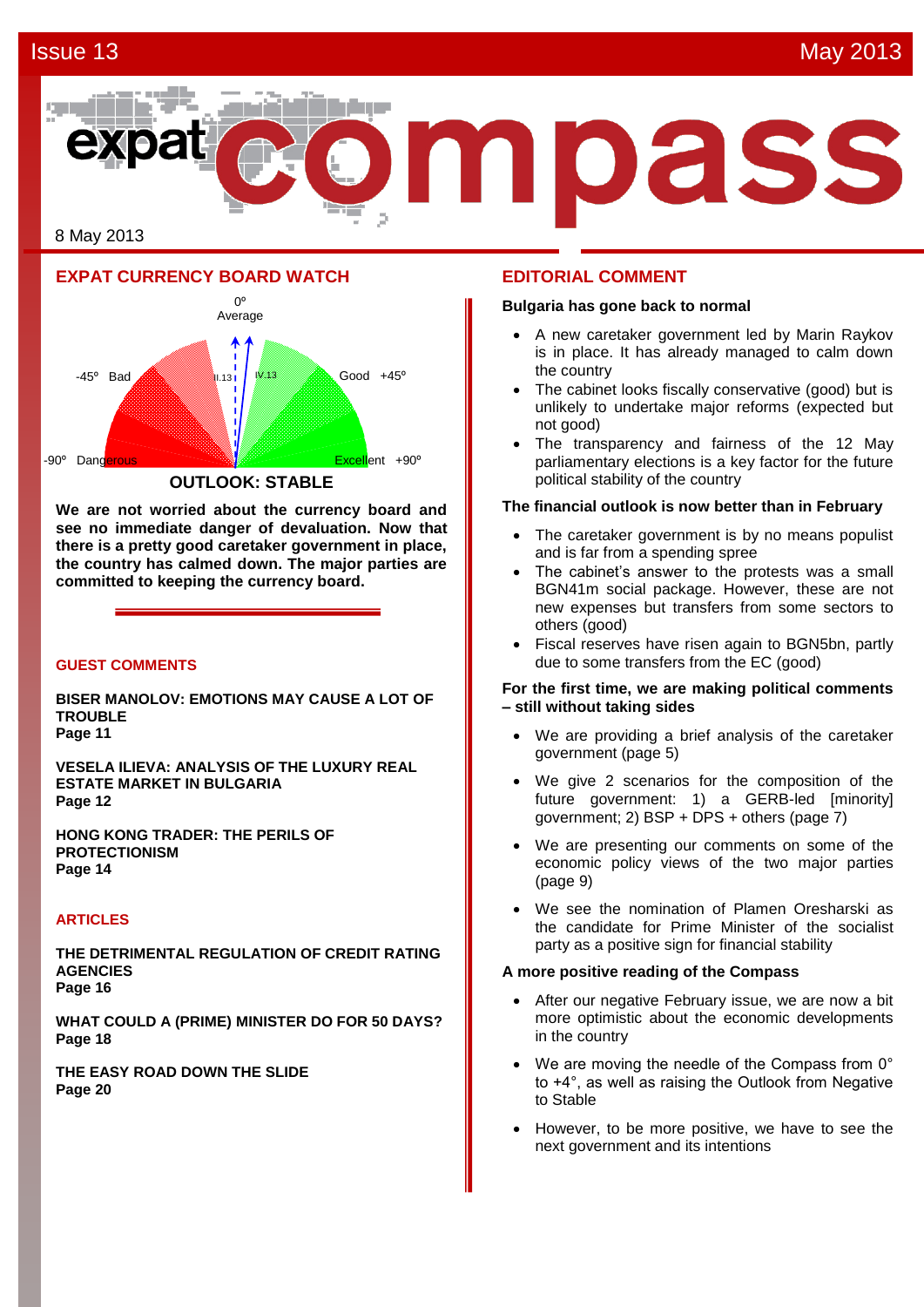# **Issue 13** May 2013



8 May 2013

# **EXPAT CURRENCY BOARD WATCH**



**We are not worried about the currency board and see no immediate danger of devaluation. Now that there is a pretty good caretaker government in place, the country has calmed down. The major parties are committed to keeping the currency board.** 

#### **GUEST COMMENTS**

**BISER MANOLOV: EMOTIONS MAY CAUSE A LOT OF TROUBLE Page 11**

**VESELA ILIEVA: ANALYSIS OF THE LUXURY REAL ESTATE MARKET IN BULGARIA Page 12**

**HONG KONG TRADER: THE PERILS OF PROTECTIONISM Page 14**

#### **ARTICLES**

**THE DETRIMENTAL REGULATION OF CREDIT RATING AGENCIES Page 16**

**WHAT COULD A (PRIME) MINISTER DO FOR 50 DAYS? Page 18**

**THE EASY ROAD DOWN THE SLIDE Page 20**

#### **EDITORIAL COMMENT**

#### **Bulgaria has gone back to normal**

- A new caretaker government led by Marin Raykov is in place. It has already managed to calm down the country
- The cabinet looks fiscally conservative (good) but is unlikely to undertake major reforms (expected but not good)
- The transparency and fairness of the 12 May parliamentary elections is a key factor for the future political stability of the country

#### **The financial outlook is now better than in February**

- The caretaker government is by no means populist and is far from a spending spree
- The cabinet's answer to the protests was a small BGN41m social package. However, these are not new expenses but transfers from some sectors to others (good)
- Fiscal reserves have risen again to BGN5bn, partly due to some transfers from the EC (good)

#### **For the first time, we are making political comments – still without taking sides**

- We are providing a brief analysis of the caretaker government (page 5)
- We give 2 scenarios for the composition of the future government: 1) a GERB-led [minority] government; 2) BSP + DPS + others (page 7)
- We are presenting our comments on some of the economic policy views of the two major parties (page 9)
- We see the nomination of Plamen Oresharski as the candidate for Prime Minister of the socialist party as a positive sign for financial stability

#### **A more positive reading of the Compass**

- After our negative February issue, we are now a bit more optimistic about the economic developments in the country
- We are moving the needle of the Compass from 0° to +4°, as well as raising the Outlook from Negative to Stable
- However, to be more positive, we have to see the next government and its intentions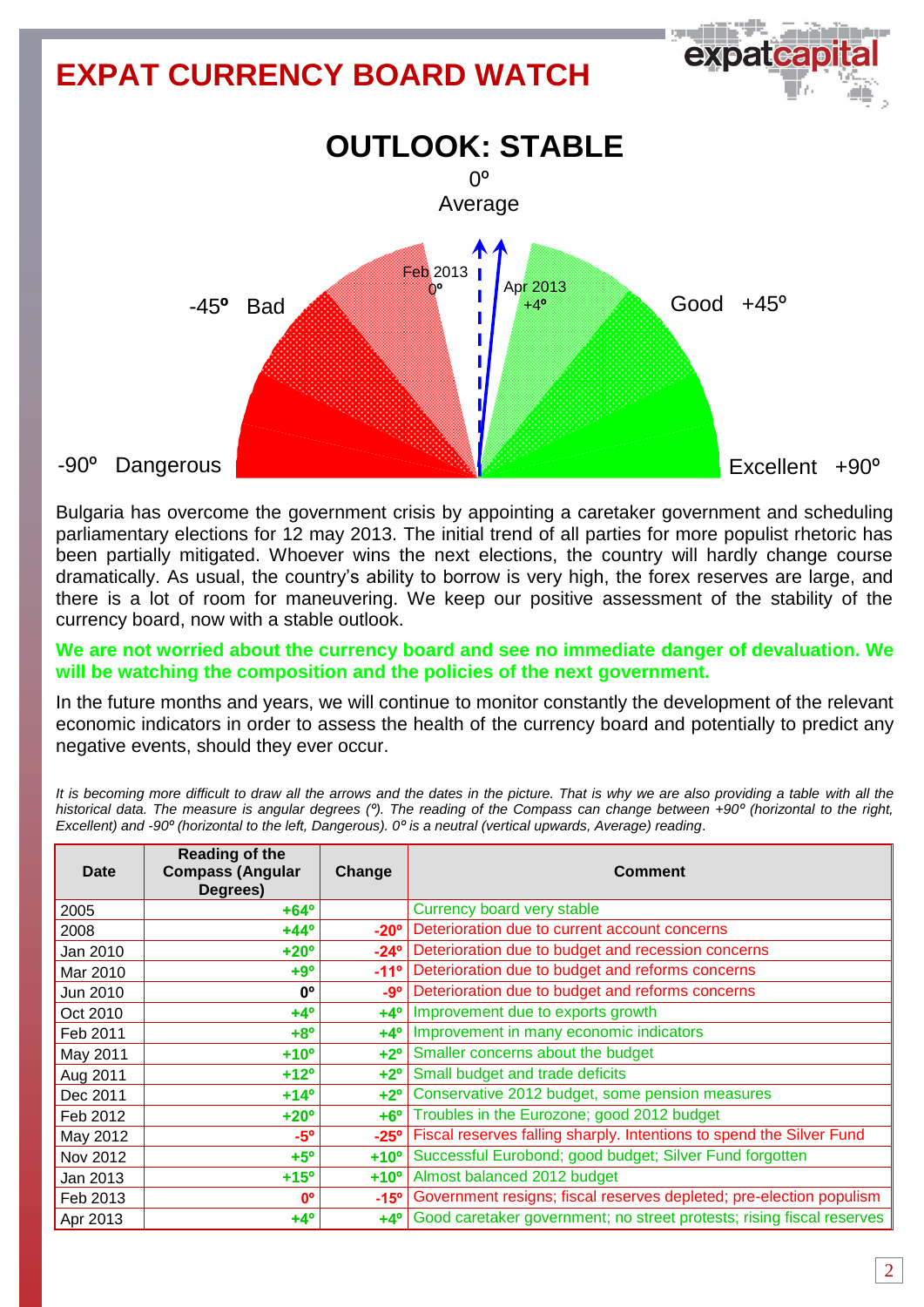

Bulgaria has overcome the government crisis by appointing a caretaker government and scheduling parliamentary elections for 12 may 2013. The initial trend of all parties for more populist rhetoric has been partially mitigated. Whoever wins the next elections, the country will hardly change course dramatically. As usual, the country's ability to borrow is very high, the forex reserves are large, and there is a lot of room for maneuvering. We keep our positive assessment of the stability of the currency board, now with a stable outlook.

# **We are not worried about the currency board and see no immediate danger of devaluation. We will be watching the composition and the policies of the next government.**

In the future months and years, we will continue to monitor constantly the development of the relevant economic indicators in order to assess the health of the currency board and potentially to predict any negative events, should they ever occur.

It is becoming more difficult to draw all the arrows and the dates in the picture. That is why we are also providing a table with all the *historical data. The measure is angular degrees (º). The reading of the Compass can change between +90º (horizontal to the right, Excellent) and -90º (horizontal to the left, Dangerous). 0º is a neutral (vertical upwards, Average) reading*.

| Date     | <b>Reading of the</b><br><b>Compass (Angular</b><br>Degrees) | Change        | <b>Comment</b>                                                        |
|----------|--------------------------------------------------------------|---------------|-----------------------------------------------------------------------|
| 2005     | $+64^{\circ}$                                                |               | Currency board very stable                                            |
| 2008     | $+44^{\circ}$                                                | $-20^\circ$   | Deterioration due to current account concerns                         |
| Jan 2010 | $+20^{\circ}$                                                | $-24^{\circ}$ | Deterioration due to budget and recession concerns                    |
| Mar 2010 | $+9°$                                                        | $-11^{\circ}$ | Deterioration due to budget and reforms concerns                      |
| Jun 2010 | 0°                                                           | -9°           | Deterioration due to budget and reforms concerns                      |
| Oct 2010 | $+4^{\circ}$                                                 | $+4^\circ$    | Improvement due to exports growth                                     |
| Feb 2011 | $+8^{\circ}$                                                 | $+4^\circ$    | Improvement in many economic indicators                               |
| May 2011 | $+10o$                                                       | $+2^{\circ}$  | Smaller concerns about the budget                                     |
| Aug 2011 | $+12^{\circ}$                                                | $+2^\circ$    | Small budget and trade deficits                                       |
| Dec 2011 | $+14^{\circ}$                                                | $+2^{\circ}$  | Conservative 2012 budget, some pension measures                       |
| Feb 2012 | $+20^{\circ}$                                                | $+6^\circ$    | Troubles in the Eurozone; good 2012 budget                            |
| May 2012 | $-5^\circ$                                                   | $-25^\circ$   | Fiscal reserves falling sharply. Intentions to spend the Silver Fund  |
| Nov 2012 | $+5^\circ$                                                   | $+10o$        | Successful Eurobond; good budget; Silver Fund forgotten               |
| Jan 2013 | $+15^\circ$                                                  | $+10o$        | Almost balanced 2012 budget                                           |
| Feb 2013 | $0^{\circ}$                                                  | $-15^{\circ}$ | Government resigns; fiscal reserves depleted; pre-election populism   |
| Apr 2013 | $+4^{\circ}$                                                 | $+4^\circ$    | Good caretaker government; no street protests; rising fiscal reserves |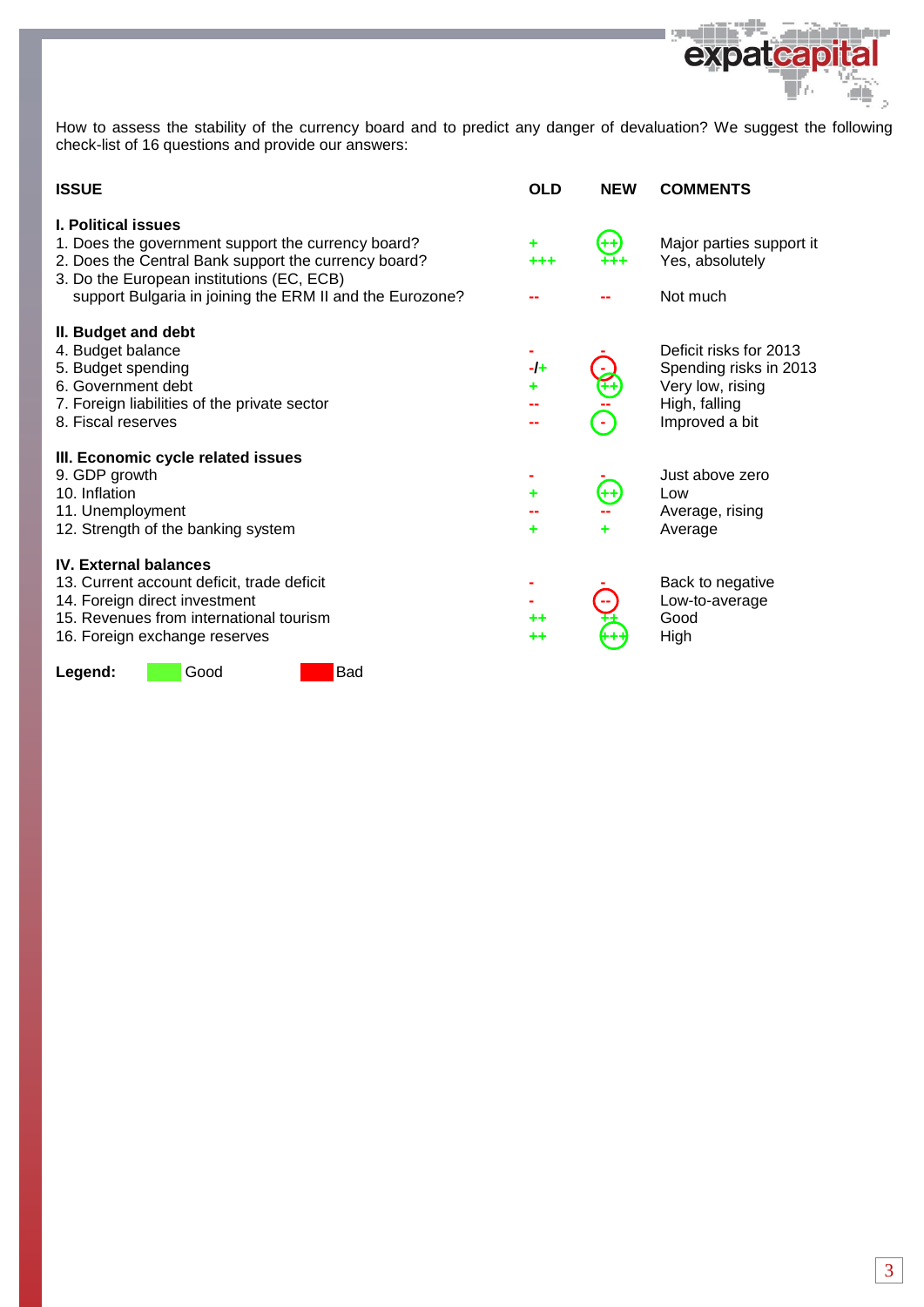

| <b>ISSUE</b>                                                                                                                                                                                                                                      | <b>OLD</b> | <b>NEW</b> | <b>COMMENTS</b>                                                                                         |
|---------------------------------------------------------------------------------------------------------------------------------------------------------------------------------------------------------------------------------------------------|------------|------------|---------------------------------------------------------------------------------------------------------|
| <b>I. Political issues</b><br>1. Does the government support the currency board?<br>2. Does the Central Bank support the currency board?<br>3. Do the European institutions (EC, ECB)<br>support Bulgaria in joining the ERM II and the Eurozone? |            | æ          | Major parties support it<br>Yes, absolutely<br>Not much                                                 |
| II. Budget and debt<br>4. Budget balance<br>5. Budget spending<br>6. Government debt<br>7. Foreign liabilities of the private sector<br>8. Fiscal reserves                                                                                        | $-1+$      |            | Deficit risks for 2013<br>Spending risks in 2013<br>Very low, rising<br>High, falling<br>Improved a bit |
| III. Economic cycle related issues<br>9. GDP growth<br>10. Inflation<br>11. Unemployment<br>12. Strength of the banking system                                                                                                                    | ٠<br>۰     | 44         | Just above zero<br>Low<br>Average, rising<br>Average                                                    |
| <b>IV. External balances</b><br>13. Current account deficit, trade deficit<br>14. Foreign direct investment<br>15. Revenues from international tourism<br>16. Foreign exchange reserves                                                           | ++         |            | Back to negative<br>Low-to-average<br>Good<br>High                                                      |
| <b>Bad</b><br>Good<br>Legend:                                                                                                                                                                                                                     |            |            |                                                                                                         |

**Marian** 

الألاب

expatcap

t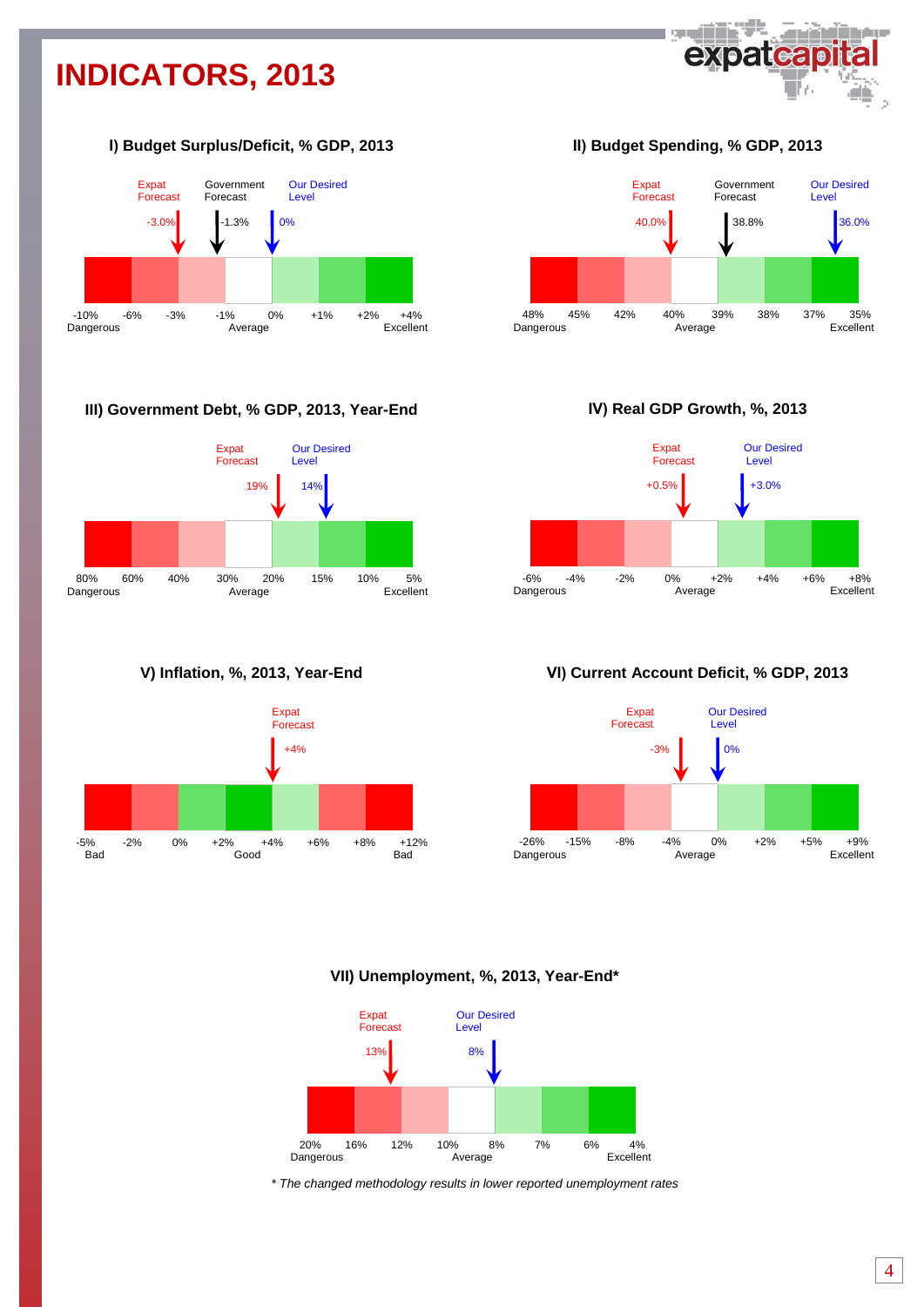# **INDICATORS, 2013**



### **І) Budget Surplus/Deficit, % GDP, 2013**



#### **III) Government Debt, % GDP, 2013, Year-End**







**ІІ) Budget Spending, % GDP, 2013**



**ІV) Real GDP Growth, %, 2013**



**VІ) Current Account Deficit, % GDP, 2013**



**VII) Unemployment, %, 2013, Year-End\***



*\* The changed methodology results in lower reported unemployment rates*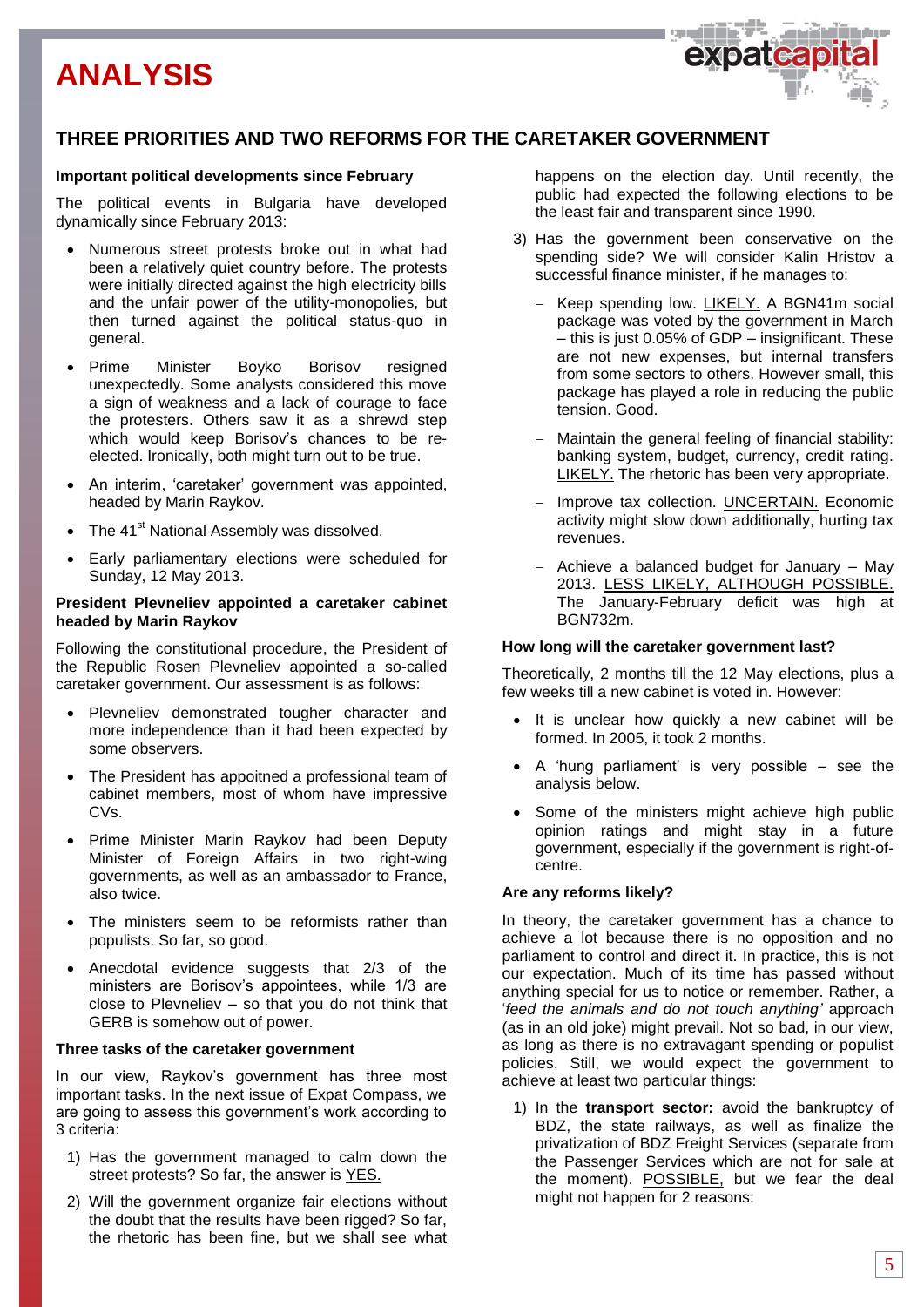# **ANALYSIS**



# **THREE PRIORITIES AND TWO REFORMS FOR THE CARETAKER GOVERNMENT**

#### **Important political developments since February**

The political events in Bulgaria have developed dynamically since February 2013:

- Numerous street protests broke out in what had been a relatively quiet country before. The protests were initially directed against the high electricity bills and the unfair power of the utility-monopolies, but then turned against the political status-quo in general.
- Prime Minister Boyko Borisov resigned unexpectedly. Some analysts considered this move a sign of weakness and a lack of courage to face the protesters. Others saw it as a shrewd step which would keep Borisov's chances to be reelected. Ironically, both might turn out to be true.
- An interim, 'caretaker' government was appointed, headed by Marin Raykov.
- The 41<sup>st</sup> National Assembly was dissolved.
- Early parliamentary elections were scheduled for Sunday, 12 May 2013.

#### **President Plevneliev appointed a caretaker cabinet headed by Marin Raykov**

Following the constitutional procedure, the President of the Republic Rosen Plevneliev appointed a so-called caretaker government. Our assessment is as follows:

- Plevneliev demonstrated tougher character and more independence than it had been expected by some observers.
- The President has appoitned a professional team of cabinet members, most of whom have impressive CVs.
- Prime Minister Marin Raykov had been Deputy Minister of Foreign Affairs in two right-wing governments, as well as an ambassador to France, also twice.
- The ministers seem to be reformists rather than populists. So far, so good.
- Anecdotal evidence suggests that 2/3 of the ministers are Borisov's appointees, while 1/3 are close to Plevneliev – so that you do not think that GERB is somehow out of power.

#### **Three tasks of the caretaker government**

In our view, Raykov's government has three most important tasks. In the next issue of Expat Compass, we are going to assess this government's work according to 3 criteria:

- 1) Has the government managed to calm down the street protests? So far, the answer is YES.
- 2) Will the government organize fair elections without the doubt that the results have been rigged? So far, the rhetoric has been fine, but we shall see what

happens on the election day. Until recently, the public had expected the following elections to be the least fair and transparent since 1990.

- 3) Has the government been conservative on the spending side? We will consider Kalin Hristov a successful finance minister, if he manages to:
	- Keep spending low. LIKELY. A BGN41m social package was voted by the government in March – this is just 0.05% of GDP – insignificant. These are not new expenses, but internal transfers from some sectors to others. However small, this package has played a role in reducing the public tension. Good.
	- Maintain the general feeling of financial stability: banking system, budget, currency, credit rating. LIKELY. The rhetoric has been very appropriate.
	- Improve tax collection. **UNCERTAIN.** Economic activity might slow down additionally, hurting tax revenues.
	- $-$  Achieve a balanced budget for January  $-$  May 2013. LESS LIKELY, ALTHOUGH POSSIBLE. The January-February deficit was high at BGN732m.

#### **How long will the caretaker government last?**

Theoretically, 2 months till the 12 May elections, plus a few weeks till a new cabinet is voted in. However:

- It is unclear how quickly a new cabinet will be formed. In 2005, it took 2 months.
- A 'hung parliament' is very possible see the analysis below.
- Some of the ministers might achieve high public opinion ratings and might stay in a future government, especially if the government is right-ofcentre.

#### **Are any reforms likely?**

In theory, the caretaker government has a chance to achieve a lot because there is no opposition and no parliament to control and direct it. In practice, this is not our expectation. Much of its time has passed without anything special for us to notice or remember. Rather, a '*feed the animals and do not touch anything'* approach (as in an old joke) might prevail. Not so bad, in our view, as long as there is no extravagant spending or populist policies. Still, we would expect the government to achieve at least two particular things:

1) In the **transport sector:** avoid the bankruptcy of BDZ, the state railways, as well as finalize the privatization of BDZ Freight Services (separate from the Passenger Services which are not for sale at the moment). POSSIBLE, but we fear the deal might not happen for 2 reasons: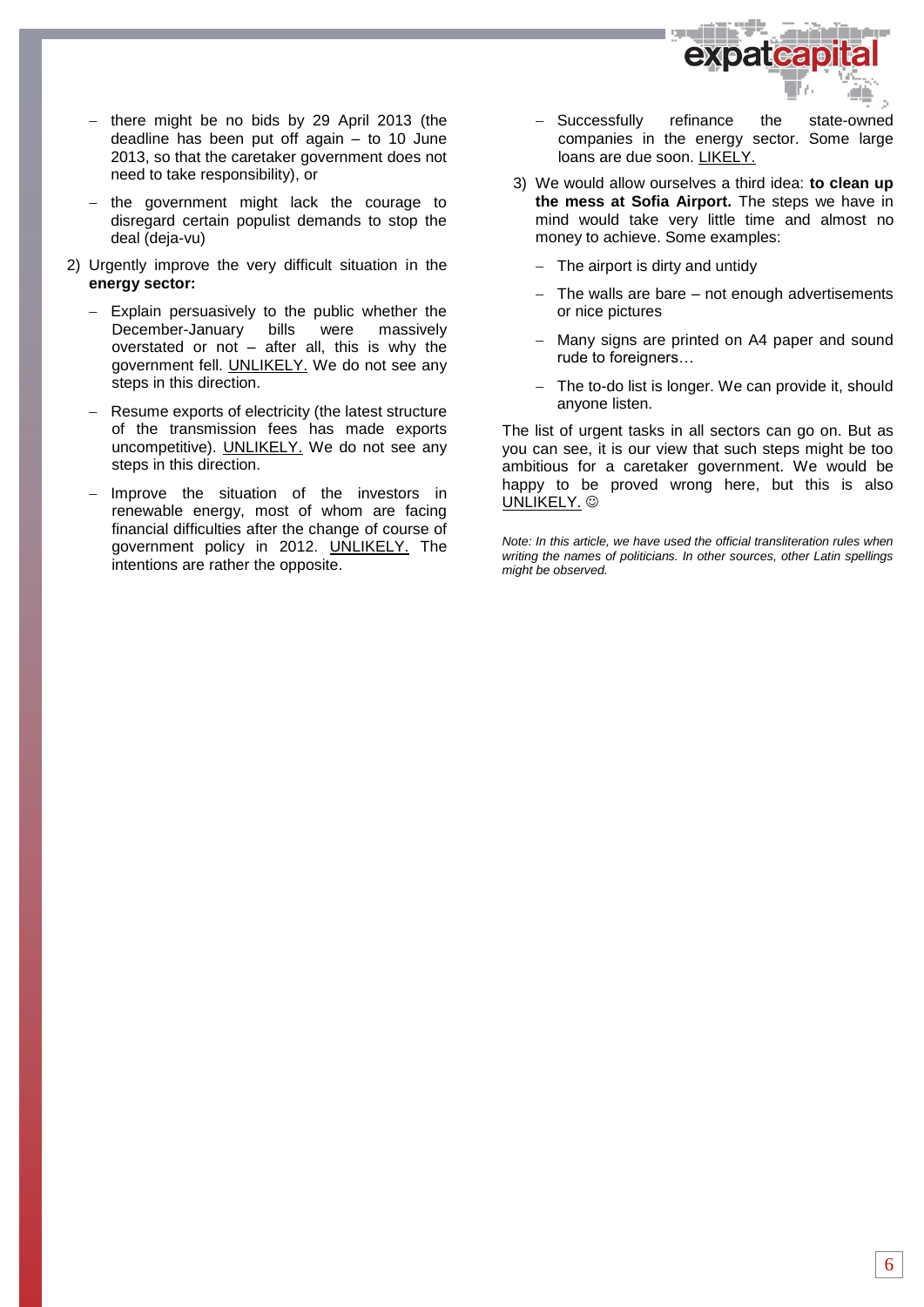

- there might be no bids by 29 April 2013 (the deadline has been put off again – to 10 June 2013, so that the caretaker government does not need to take responsibility), or
- the government might lack the courage to disregard certain populist demands to stop the deal (deja-vu)
- 2) Urgently improve the very difficult situation in the **energy sector:**
	- Explain persuasively to the public whether the December-January bills were massively overstated or not – after all, this is why the government fell. UNLIKELY. We do not see any steps in this direction.
	- Resume exports of electricity (the latest structure of the transmission fees has made exports uncompetitive). UNLIKELY. We do not see any steps in this direction.
	- Improve the situation of the investors in renewable energy, most of whom are facing financial difficulties after the change of course of government policy in 2012. UNLIKELY. The intentions are rather the opposite.
- Successfully refinance the state-owned companies in the energy sector. Some large loans are due soon. LIKELY.
- 3) We would allow ourselves a third idea: **to clean up the mess at Sofia Airport.** The steps we have in mind would take very little time and almost no money to achieve. Some examples:
	- $-$  The airport is dirty and untidy
	- The walls are bare not enough advertisements or nice pictures
	- Many signs are printed on A4 paper and sound rude to foreigners…
	- The to-do list is longer. We can provide it, should anyone listen.

The list of urgent tasks in all sectors can go on. But as you can see, it is our view that such steps might be too ambitious for a caretaker government. We would be happy to be proved wrong here, but this is also UNLIKELY. ©

*Note: In this article, we have used the official transliteration rules when writing the names of politicians. In other sources, other Latin spellings might be observed.*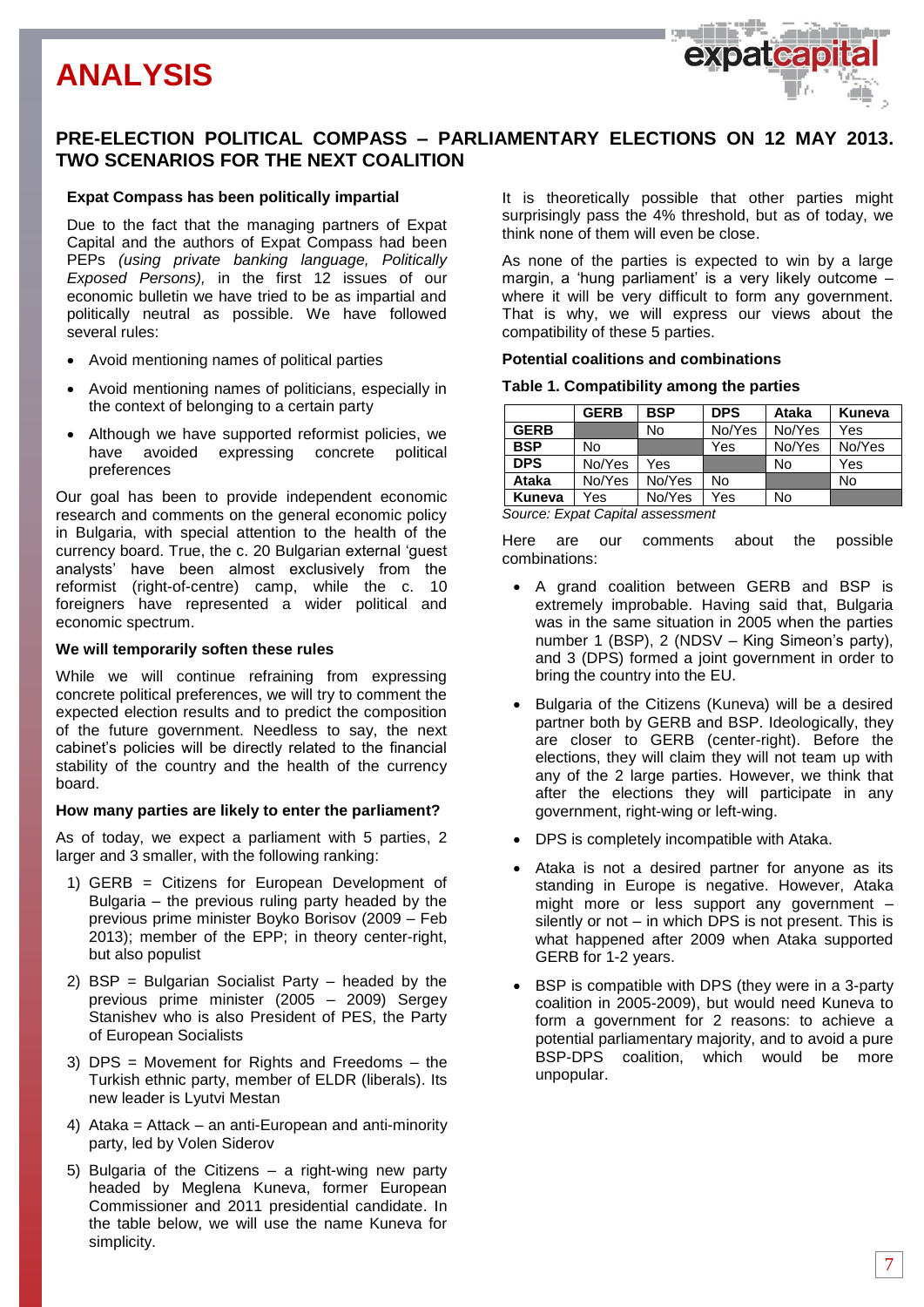# **ANALYSIS**



### **PRE-ELECTION POLITICAL COMPASS – PARLIAMENTARY ELECTIONS ON 12 MAY 2013. TWO SCENARIOS FOR THE NEXT COALITION**

#### **Expat Compass has been politically impartial**

Due to the fact that the managing partners of Expat Capital and the authors of Expat Compass had been PEPs *(using private banking language, Politically Exposed Persons),* in the first 12 issues of our economic bulletin we have tried to be as impartial and politically neutral as possible. We have followed several rules:

- Avoid mentioning names of political parties
- Avoid mentioning names of politicians, especially in the context of belonging to a certain party
- Although we have supported reformist policies, we have avoided expressing concrete political preferences

Our goal has been to provide independent economic research and comments on the general economic policy in Bulgaria, with special attention to the health of the currency board. True, the c. 20 Bulgarian external 'guest analysts' have been almost exclusively from the reformist (right-of-centre) camp, while the c. 10 foreigners have represented a wider political and economic spectrum.

#### **We will temporarily soften these rules**

While we will continue refraining from expressing concrete political preferences, we will try to comment the expected election results and to predict the composition of the future government. Needless to say, the next cabinet's policies will be directly related to the financial stability of the country and the health of the currency board.

#### **How many parties are likely to enter the parliament?**

As of today, we expect a parliament with 5 parties, 2 larger and 3 smaller, with the following ranking:

- 1) GERB = Citizens for European Development of Bulgaria – the previous ruling party headed by the previous prime minister Boyko Borisov (2009 – Feb 2013); member of the EPP; in theory center-right, but also populist
- 2) BSP = Bulgarian Socialist Party headed by the previous prime minister (2005 – 2009) Sergey Stanishev who is also President of PES, the Party of European Socialists
- 3) DPS = Movement for Rights and Freedoms the Turkish ethnic party, member of ELDR (liberals). Its new leader is Lyutvi Mestan
- 4) Ataka = Attack an anti-European and anti-minority party, led by Volen Siderov
- 5) Bulgaria of the Citizens a right-wing new party headed by Meglena Kuneva, former European Commissioner and 2011 presidential candidate. In the table below, we will use the name Kuneva for simplicity.

It is theoretically possible that other parties might surprisingly pass the 4% threshold, but as of today, we think none of them will even be close.

As none of the parties is expected to win by a large margin, a 'hung parliament' is a very likely outcome – where it will be very difficult to form any government. That is why, we will express our views about the compatibility of these 5 parties.

#### **Potential coalitions and combinations**

#### **Table 1. Compatibility among the parties**

|                                  | <b>GERB</b> | <b>BSP</b> | <b>DPS</b> | Ataka  | Kuneva |
|----------------------------------|-------------|------------|------------|--------|--------|
| <b>GERB</b>                      |             | No         | No/Yes     | No/Yes | Yes    |
| <b>BSP</b>                       | No          |            | Yes        | No/Yes | No/Yes |
| <b>DPS</b>                       | No/Yes      | Yes        |            | No     | Yes    |
| <b>Ataka</b>                     | No/Yes      | No/Yes     | No         |        | No     |
| Kuneva                           | Yes         | No/Yes     | Yes        | No     |        |
| Source: Expat Capital assessment |             |            |            |        |        |

Here are our comments about the possible combinations:

- A grand coalition between GERB and BSP is extremely improbable. Having said that, Bulgaria was in the same situation in 2005 when the parties number 1 (BSP), 2 (NDSV – King Simeon's party), and 3 (DPS) formed a joint government in order to bring the country into the EU.
- Bulgaria of the Citizens (Kuneva) will be a desired partner both by GERB and BSP. Ideologically, they are closer to GERB (center-right). Before the elections, they will claim they will not team up with any of the 2 large parties. However, we think that after the elections they will participate in any government, right-wing or left-wing.
- DPS is completely incompatible with Ataka.
- Ataka is not a desired partner for anyone as its standing in Europe is negative. However, Ataka might more or less support any government – silently or not – in which DPS is not present. This is what happened after 2009 when Ataka supported GERB for 1-2 years.
- BSP is compatible with DPS (they were in a 3-party coalition in 2005-2009), but would need Kuneva to form a government for 2 reasons: to achieve a potential parliamentary majority, and to avoid a pure BSP-DPS coalition, which would be more unpopular.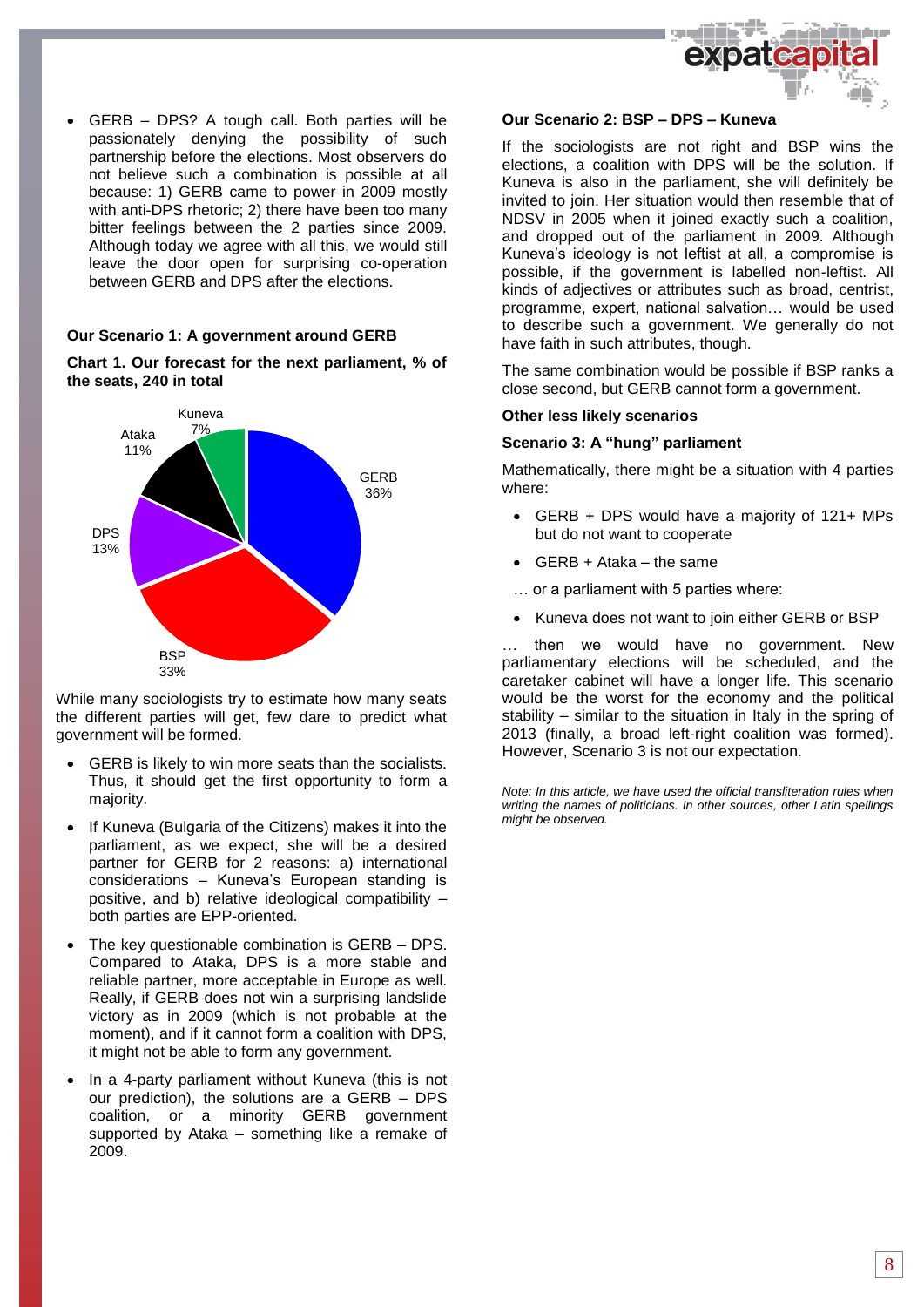

 GERB – DPS? A tough call. Both parties will be passionately denying the possibility of such partnership before the elections. Most observers do not believe such a combination is possible at all because: 1) GERB came to power in 2009 mostly with anti-DPS rhetoric; 2) there have been too many bitter feelings between the 2 parties since 2009. Although today we agree with all this, we would still leave the door open for surprising co-operation between GERB and DPS after the elections.

#### **Our Scenario 1: A government around GERB**

**Chart 1. Our forecast for the next parliament, % of the seats, 240 in total**



While many sociologists try to estimate how many seats the different parties will get, few dare to predict what government will be formed.

- GERB is likely to win more seats than the socialists. Thus, it should get the first opportunity to form a majority.
- If Kuneva (Bulgaria of the Citizens) makes it into the parliament, as we expect, she will be a desired partner for GERB for 2 reasons: a) international considerations – Kuneva's European standing is positive, and b) relative ideological compatibility – both parties are EPP-oriented.
- The key questionable combination is GERB DPS. Compared to Ataka, DPS is a more stable and reliable partner, more acceptable in Europe as well. Really, if GERB does not win a surprising landslide victory as in 2009 (which is not probable at the moment), and if it cannot form a coalition with DPS, it might not be able to form any government.
- In a 4-party parliament without Kuneva (this is not our prediction), the solutions are a GERB – DPS coalition, or a minority GERB government supported by Ataka – something like a remake of 2009.

#### **Our Scenario 2: BSP – DPS – Kuneva**

If the sociologists are not right and BSP wins the elections, a coalition with DPS will be the solution. If Kuneva is also in the parliament, she will definitely be invited to join. Her situation would then resemble that of NDSV in 2005 when it joined exactly such a coalition, and dropped out of the parliament in 2009. Although Kuneva's ideology is not leftist at all, a compromise is possible, if the government is labelled non-leftist. All kinds of adjectives or attributes such as broad, centrist, programme, expert, national salvation… would be used to describe such a government. We generally do not have faith in such attributes, though.

The same combination would be possible if BSP ranks a close second, but GERB cannot form a government.

#### **Other less likely scenarios**

#### **Scenario 3: A "hung" parliament**

Mathematically, there might be a situation with 4 parties where:

- GERB + DPS would have a majority of 121+ MPs but do not want to cooperate
- GERB + Ataka the same
- … or a parliament with 5 parties where:
- Kuneva does not want to join either GERB or BSP

then we would have no government. New parliamentary elections will be scheduled, and the caretaker cabinet will have a longer life. This scenario would be the worst for the economy and the political stability – similar to the situation in Italy in the spring of 2013 (finally, a broad left-right coalition was formed). However, Scenario 3 is not our expectation.

*Note: In this article, we have used the official transliteration rules when writing the names of politicians. In other sources, other Latin spellings might be observed.*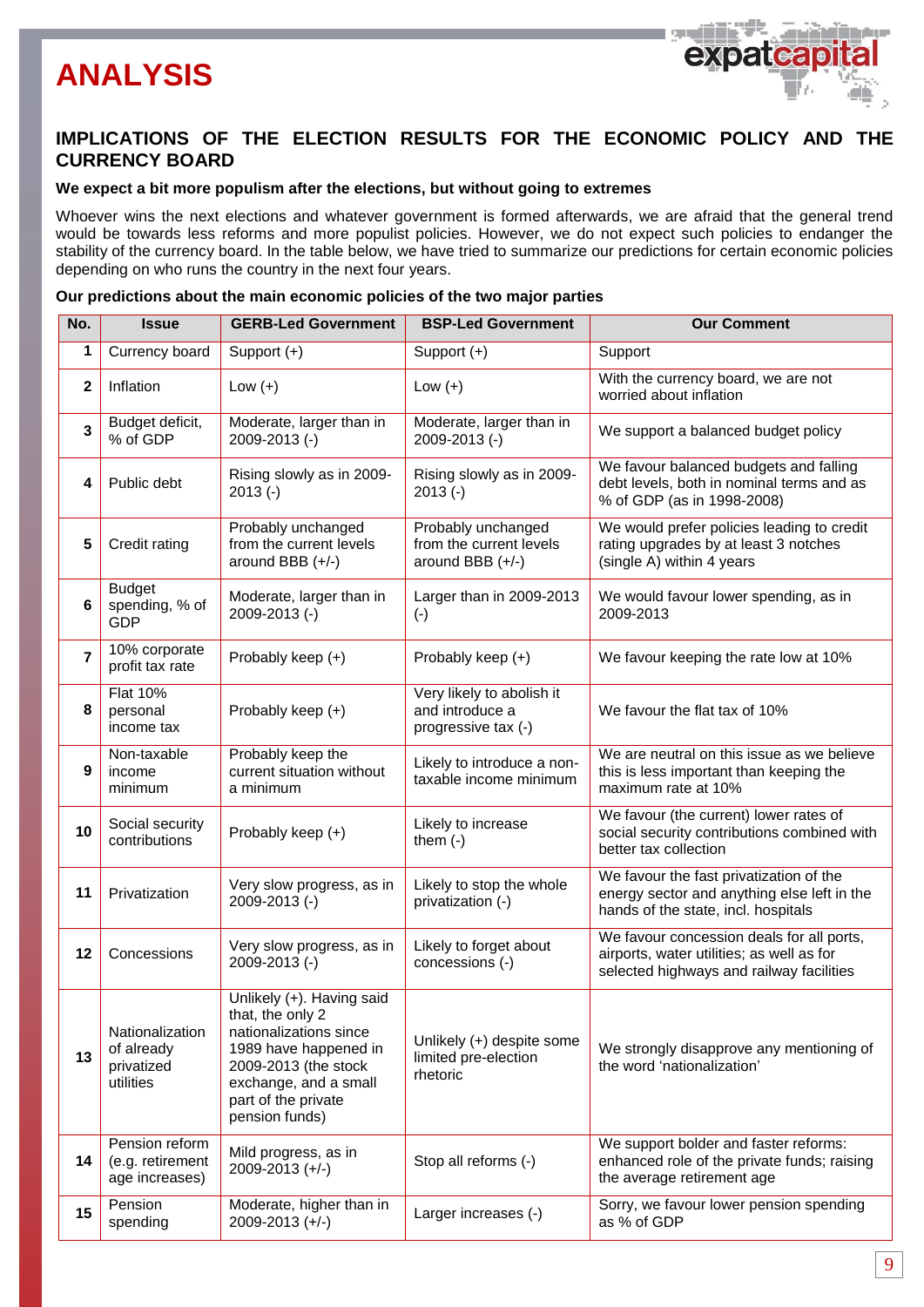# **ANALYSIS**



# **IMPLICATIONS OF THE ELECTION RESULTS FOR THE ECONOMIC POLICY AND THE CURRENCY BOARD**

#### **We expect a bit more populism after the elections, but without going to extremes**

Whoever wins the next elections and whatever government is formed afterwards, we are afraid that the general trend would be towards less reforms and more populist policies. However, we do not expect such policies to endanger the stability of the currency board. In the table below, we have tried to summarize our predictions for certain economic policies depending on who runs the country in the next four years.

#### **Our predictions about the main economic policies of the two major parties**

| No.            | <b>Issue</b>                                             | <b>GERB-Led Government</b>                                                                                                                                                                 | <b>BSP-Led Government</b>                                           | <b>Our Comment</b>                                                                                                                 |
|----------------|----------------------------------------------------------|--------------------------------------------------------------------------------------------------------------------------------------------------------------------------------------------|---------------------------------------------------------------------|------------------------------------------------------------------------------------------------------------------------------------|
| 1              | Currency board                                           | Support $(+)$                                                                                                                                                                              | Support $(+)$                                                       | Support                                                                                                                            |
| $\mathbf{2}$   | Inflation                                                | Low $(+)$                                                                                                                                                                                  | Low $(+)$                                                           | With the currency board, we are not<br>worried about inflation                                                                     |
| 3              | Budget deficit,<br>% of GDP                              | Moderate, larger than in<br>2009-2013 (-)                                                                                                                                                  | Moderate, larger than in<br>2009-2013 (-)                           | We support a balanced budget policy                                                                                                |
| 4              | Public debt                                              | Rising slowly as in 2009-<br>$2013(-)$                                                                                                                                                     | Rising slowly as in 2009-<br>$2013(-)$                              | We favour balanced budgets and falling<br>debt levels, both in nominal terms and as<br>% of GDP (as in 1998-2008)                  |
| 5              | Credit rating                                            | Probably unchanged<br>from the current levels<br>around BBB $(+/-)$                                                                                                                        | Probably unchanged<br>from the current levels<br>around BBB $(+/-)$ | We would prefer policies leading to credit<br>rating upgrades by at least 3 notches<br>(single A) within 4 years                   |
| 6              | <b>Budget</b><br>spending, % of<br><b>GDP</b>            | Moderate, larger than in<br>2009-2013 (-)                                                                                                                                                  | Larger than in 2009-2013<br>$(\cdot)$                               | We would favour lower spending, as in<br>2009-2013                                                                                 |
| $\overline{7}$ | 10% corporate<br>profit tax rate                         | Probably keep (+)                                                                                                                                                                          | Probably keep (+)                                                   | We favour keeping the rate low at 10%                                                                                              |
| 8              | <b>Flat 10%</b><br>personal<br>income tax                | Probably keep (+)                                                                                                                                                                          | Very likely to abolish it<br>and introduce a<br>progressive tax (-) | We favour the flat tax of 10%                                                                                                      |
| 9              | Non-taxable<br>income<br>minimum                         | Probably keep the<br>current situation without<br>a minimum                                                                                                                                | Likely to introduce a non-<br>taxable income minimum                | We are neutral on this issue as we believe<br>this is less important than keeping the<br>maximum rate at 10%                       |
| 10             | Social security<br>contributions                         | Probably keep (+)                                                                                                                                                                          | Likely to increase<br>them $(-)$                                    | We favour (the current) lower rates of<br>social security contributions combined with<br>better tax collection                     |
| 11             | Privatization                                            | Very slow progress, as in<br>2009-2013 (-)                                                                                                                                                 | Likely to stop the whole<br>privatization (-)                       | We favour the fast privatization of the<br>energy sector and anything else left in the<br>hands of the state, incl. hospitals      |
| 12             | Concessions                                              | Very slow progress, as in<br>2009-2013 (-)                                                                                                                                                 | Likely to forget about<br>concessions (-)                           | We favour concession deals for all ports,<br>airports, water utilities; as well as for<br>selected highways and railway facilities |
| 13             | Nationalization<br>of already<br>privatized<br>utilities | Unlikely (+). Having said<br>that, the only 2<br>nationalizations since<br>1989 have happened in<br>2009-2013 (the stock<br>exchange, and a small<br>part of the private<br>pension funds) | Unlikely (+) despite some<br>limited pre-election<br>rhetoric       | We strongly disapprove any mentioning of<br>the word 'nationalization'                                                             |
| 14             | Pension reform<br>(e.g. retirement<br>age increases)     | Mild progress, as in<br>$2009 - 2013 (+/-)$                                                                                                                                                | Stop all reforms (-)                                                | We support bolder and faster reforms:<br>enhanced role of the private funds; raising<br>the average retirement age                 |
| 15             | Pension<br>spending                                      | Moderate, higher than in<br>2009-2013 (+/-)                                                                                                                                                | Larger increases (-)                                                | Sorry, we favour lower pension spending<br>as % of GDP                                                                             |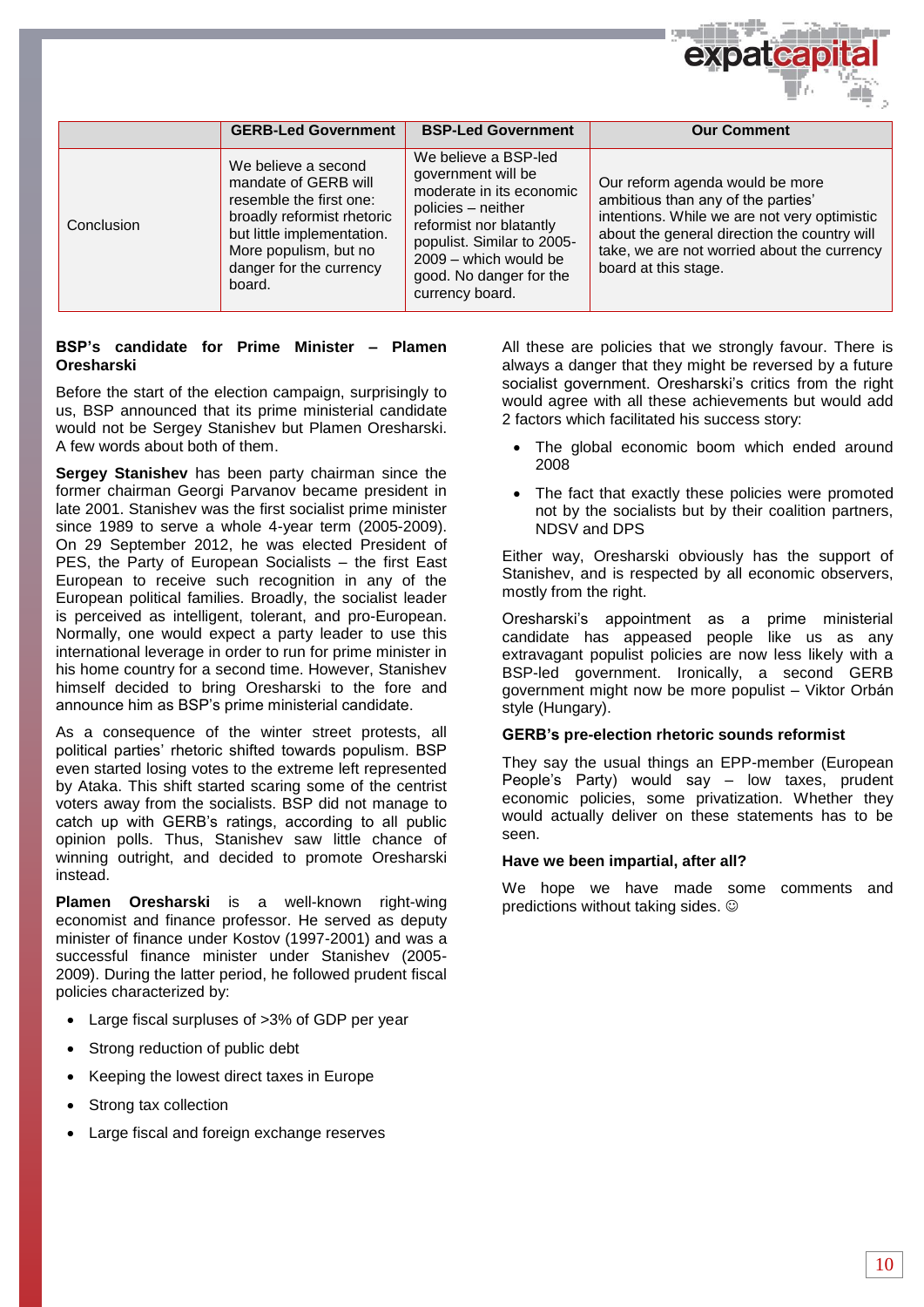|            |                                                                                                                                                                                                  |                                                                                                                                                                                                                              | Ultr.                                                                                                                                                                                                                                        |
|------------|--------------------------------------------------------------------------------------------------------------------------------------------------------------------------------------------------|------------------------------------------------------------------------------------------------------------------------------------------------------------------------------------------------------------------------------|----------------------------------------------------------------------------------------------------------------------------------------------------------------------------------------------------------------------------------------------|
|            | <b>GERB-Led Government</b>                                                                                                                                                                       | <b>BSP-Led Government</b>                                                                                                                                                                                                    | <b>Our Comment</b>                                                                                                                                                                                                                           |
| Conclusion | We believe a second<br>mandate of GERB will<br>resemble the first one:<br>broadly reformist rhetoric<br>but little implementation.<br>More populism, but no<br>danger for the currency<br>board. | We believe a BSP-led<br>government will be<br>moderate in its economic<br>policies - neither<br>reformist nor blatantly<br>populist. Similar to 2005-<br>2009 - which would be<br>good. No danger for the<br>currency board. | Our reform agenda would be more<br>ambitious than any of the parties'<br>intentions. While we are not very optimistic<br>about the general direction the country will<br>take, we are not worried about the currency<br>board at this stage. |

#### **BSP's candidate for Prime Minister – Plamen Oresharski**

Before the start of the election campaign, surprisingly to us, BSP announced that its prime ministerial candidate would not be Sergey Stanishev but Plamen Oresharski. A few words about both of them.

**Sergey Stanishev** has been party chairman since the former chairman Georgi Parvanov became president in late 2001. Stanishev was the first socialist prime minister since 1989 to serve a whole 4-year term (2005-2009). On 29 September 2012, he was elected President of PES, the Party of European Socialists – the first East European to receive such recognition in any of the European political families. Broadly, the socialist leader is perceived as intelligent, tolerant, and pro-European. Normally, one would expect a party leader to use this international leverage in order to run for prime minister in his home country for a second time. However, Stanishev himself decided to bring Oresharski to the fore and announce him as BSP's prime ministerial candidate.

As a consequence of the winter street protests, all political parties' rhetoric shifted towards populism. BSP even started losing votes to the extreme left represented by Ataka. This shift started scaring some of the centrist voters away from the socialists. BSP did not manage to catch up with GERB's ratings, according to all public opinion polls. Thus, Stanishev saw little chance of winning outright, and decided to promote Oresharski instead.

**Plamen Oresharski** is a well-known right-wing economist and finance professor. He served as deputy minister of finance under Kostov (1997-2001) and was a successful finance minister under Stanishev (2005- 2009). During the latter period, he followed prudent fiscal policies characterized by:

- Large fiscal surpluses of >3% of GDP per year
- Strong reduction of public debt
- Keeping the lowest direct taxes in Europe
- Strong tax collection
- Large fiscal and foreign exchange reserves

All these are policies that we strongly favour. There is always a danger that they might be reversed by a future socialist government. Oresharski's critics from the right would agree with all these achievements but would add 2 factors which facilitated his success story:

- The global economic boom which ended around 2008
- The fact that exactly these policies were promoted not by the socialists but by their coalition partners, NDSV and DPS

Either way, Oresharski obviously has the support of Stanishev, and is respected by all economic observers, mostly from the right.

Oresharski's appointment as a prime ministerial candidate has appeased people like us as any extravagant populist policies are now less likely with a BSP-led government. Ironically, a second GERB government might now be more populist – Viktor Orbán style (Hungary).

#### **GERB's pre-election rhetoric sounds reformist**

They say the usual things an EPP-member (European People's Party) would say – low taxes, prudent economic policies, some privatization. Whether they would actually deliver on these statements has to be seen.

#### **Have we been impartial, after all?**

We hope we have made some comments and predictions without taking sides.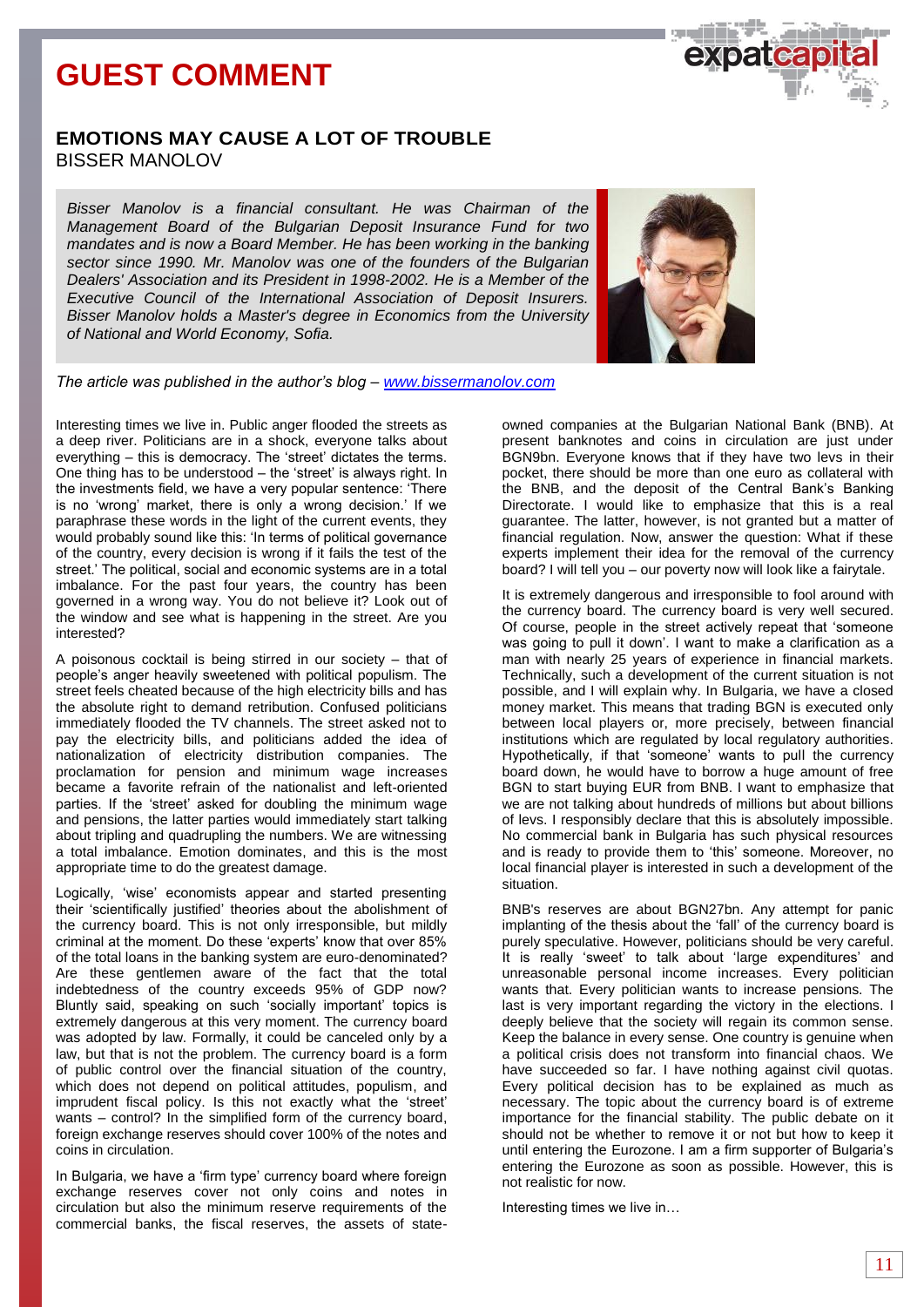# **GUEST COMMENT**



### **EMOTIONS MAY CAUSE A LOT OF TROUBLE** BISSER MANOLOV

*Bisser Manolov is a financial consultant. He was Chairman of the Management Board of the Bulgarian Deposit Insurance Fund for two mandates and is now a Board Member. He has been working in the banking sector since 1990. Mr. Manolov was one of the founders of the Bulgarian Dealers' Association and its President in 1998-2002. He is a Member of the Executive Council of the International Association of Deposit Insurers. Bisser Manolov holds a Master's degree in Economics from the University of National and World Economy, Sofia.*



*The article was published in the author's blog – [www.bissermanolov.com](http://www.bissermanolov.com/)*

Interesting times we live in. Public anger flooded the streets as a deep river. Politicians are in a shock, everyone talks about everything – this is democracy. The 'street' dictates the terms. One thing has to be understood – the 'street' is always right. In the investments field, we have a very popular sentence: 'There is no 'wrong' market, there is only a wrong decision.' If we paraphrase these words in the light of the current events, they would probably sound like this: 'In terms of political governance of the country, every decision is wrong if it fails the test of the street.' The political, social and economic systems are in a total imbalance. For the past four years, the country has been governed in a wrong way. You do not believe it? Look out of the window and see what is happening in the street. Are you interested?

A poisonous cocktail is being stirred in our society – that of people's anger heavily sweetened with political populism. The street feels cheated because of the high electricity bills and has the absolute right to demand retribution. Confused politicians immediately flooded the TV channels. The street asked not to pay the electricity bills, and politicians added the idea of nationalization of electricity distribution companies. The proclamation for pension and minimum wage increases became a favorite refrain of the nationalist and left-oriented parties. If the 'street' asked for doubling the minimum wage and pensions, the latter parties would immediately start talking about tripling and quadrupling the numbers. We are witnessing a total imbalance. Emotion dominates, and this is the most appropriate time to do the greatest damage.

Logically, 'wise' economists appear and started presenting their 'scientifically justified' theories about the abolishment of the currency board. This is not only irresponsible, but mildly criminal at the moment. Do these 'experts' know that over 85% of the total loans in the banking system are euro-denominated? Are these gentlemen aware of the fact that the total indebtedness of the country exceeds 95% of GDP now? Bluntly said, speaking on such 'socially important' topics is extremely dangerous at this very moment. The currency board was adopted by law. Formally, it could be canceled only by a law, but that is not the problem. The currency board is a form of public control over the financial situation of the country, which does not depend on political attitudes, populism, and imprudent fiscal policy. Is this not exactly what the 'street' wants – control? In the simplified form of the currency board, foreign exchange reserves should cover 100% of the notes and coins in circulation.

In Bulgaria, we have a 'firm type' currency board where foreign exchange reserves cover not only coins and notes in circulation but also the minimum reserve requirements of the commercial banks, the fiscal reserves, the assets of stateowned companies at the Bulgarian National Bank (BNB). At present banknotes and coins in circulation are just under BGN9bn. Everyone knows that if they have two levs in their pocket, there should be more than one euro as collateral with the BNB, and the deposit of the Central Bank's Banking Directorate. I would like to emphasize that this is a real guarantee. The latter, however, is not granted but a matter of financial regulation. Now, answer the question: What if these experts implement their idea for the removal of the currency board? I will tell you – our poverty now will look like a fairytale.

It is extremely dangerous and irresponsible to fool around with the currency board. The currency board is very well secured. Of course, people in the street actively repeat that 'someone was going to pull it down'. I want to make a clarification as a man with nearly 25 years of experience in financial markets. Technically, such a development of the current situation is not possible, and I will explain why. In Bulgaria, we have a closed money market. This means that trading BGN is executed only between local players or, more precisely, between financial institutions which are regulated by local regulatory authorities. Hypothetically, if that 'someone' wants to pull the currency board down, he would have to borrow a huge amount of free BGN to start buying EUR from BNB. I want to emphasize that we are not talking about hundreds of millions but about billions of levs. I responsibly declare that this is absolutely impossible. No commercial bank in Bulgaria has such physical resources and is ready to provide them to 'this' someone. Moreover, no local financial player is interested in such a development of the situation.

BNB's reserves are about BGN27bn. Any attempt for panic implanting of the thesis about the 'fall' of the currency board is purely speculative. However, politicians should be very careful. It is really 'sweet' to talk about 'large expenditures' and unreasonable personal income increases. Every politician wants that. Every politician wants to increase pensions. The last is very important regarding the victory in the elections. I deeply believe that the society will regain its common sense. Keep the balance in every sense. One country is genuine when a political crisis does not transform into financial chaos. We have succeeded so far. I have nothing against civil quotas. Every political decision has to be explained as much as necessary. The topic about the currency board is of extreme importance for the financial stability. The public debate on it should not be whether to remove it or not but how to keep it until entering the Eurozone. I am a firm supporter of Bulgaria's entering the Eurozone as soon as possible. However, this is not realistic for now.

Interesting times we live in…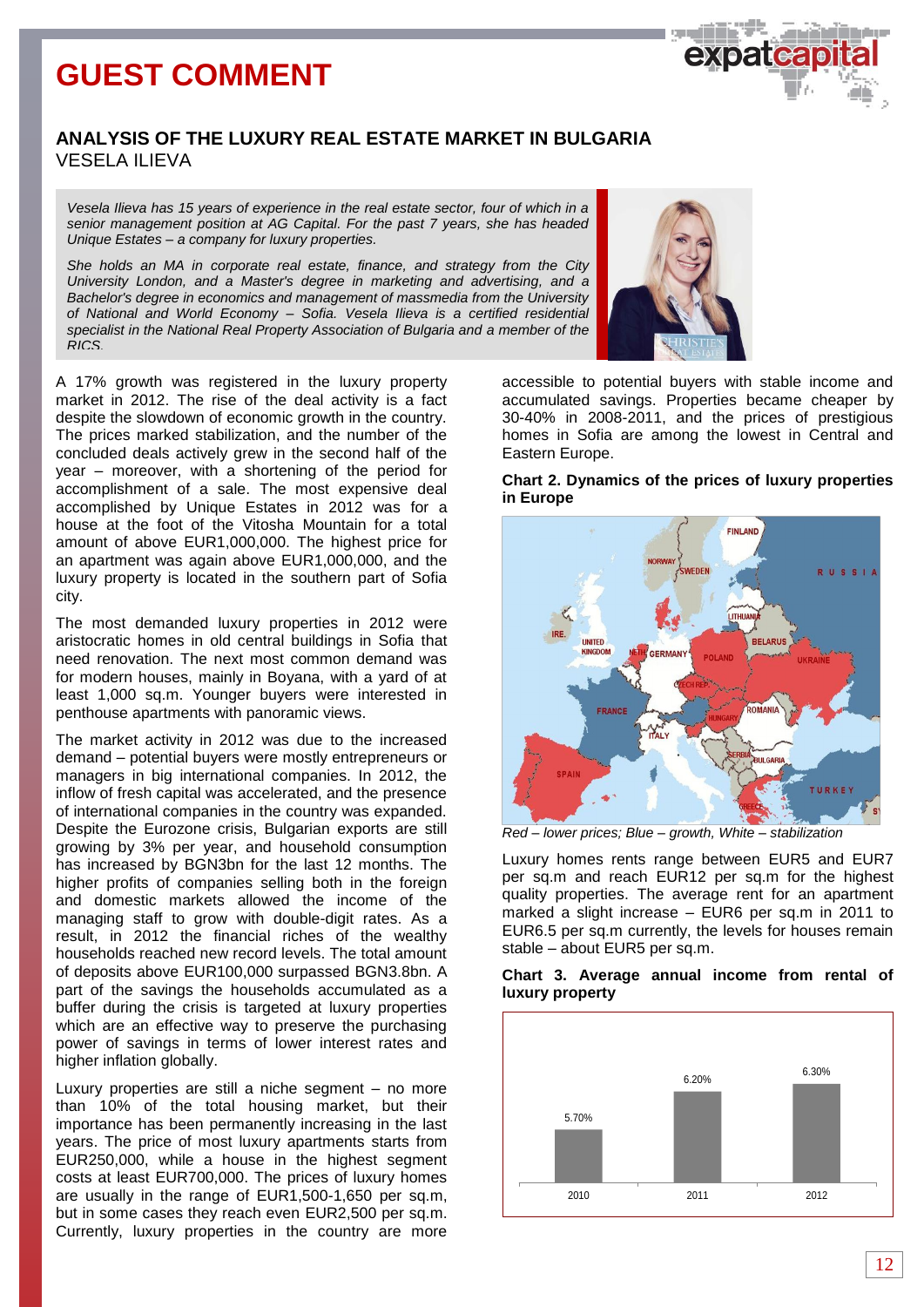# **GUEST COMMENT**

## **ANALYSIS OF THE LUXURY REAL ESTATE MARKET IN BULGARIA** VESELA ILIEVA

*Vesela Ilieva has 15 years of experience in the real estate sector, four of which in a senior management position at AG Capital. For the past 7 years, she has headed Unique Estates – a company for luxury properties.*

*She holds an MA in corporate real estate, finance, and strategy from the City University London, and a Master's degree in marketing and advertising, and a Bachelor's degree in economics and management of massmedia from the University of National and World Economy – Sofia. Vesela Ilieva is a certified residential specialist in the National Real Property Association of Bulgaria and a member of the RICS.*

A 17% growth was registered in the luxury property market in 2012. The rise of the deal activity is a fact despite the slowdown of economic growth in the country. The prices marked stabilization, and the number of the concluded deals actively grew in the second half of the year – moreover, with a shortening of the period for accomplishment of a sale. The most expensive deal accomplished by Unique Estates in 2012 was for a house at the foot of the Vitosha Mountain for a total amount of above EUR1,000,000. The highest price for an apartment was again above EUR1,000,000, and the luxury property is located in the southern part of Sofia city.

The most demanded luxury properties in 2012 were aristocratic homes in old central buildings in Sofia that need renovation. The next most common demand was for modern houses, mainly in Boyana, with a yard of at least 1,000 sq.m. Younger buyers were interested in penthouse apartments with panoramic views.

The market activity in 2012 was due to the increased demand – potential buyers were mostly entrepreneurs or managers in big international companies. In 2012, the inflow of fresh capital was accelerated, and the presence of international companies in the country was expanded. Despite the Eurozone crisis, Bulgarian exports are still growing by 3% per year, and household consumption has increased by BGN3bn for the last 12 months. The higher profits of companies selling both in the foreign and domestic markets allowed the income of the managing staff to grow with double-digit rates. As a result, in 2012 the financial riches of the wealthy households reached new record levels. The total amount of deposits above EUR100,000 surpassed BGN3.8bn. A part of the savings the households accumulated as a buffer during the crisis is targeted at luxury properties which are an effective way to preserve the purchasing power of savings in terms of lower interest rates and higher inflation globally.

Luxury properties are still a niche segment – no more than 10% of the total housing market, but their importance has been permanently increasing in the last years. The price of most luxury apartments starts from EUR250,000, while a house in the highest segment costs at least EUR700,000. The prices of luxury homes are usually in the range of EUR1,500-1,650 per sq.m, but in some cases they reach even EUR2,500 per sq.m. Currently, luxury properties in the country are more



accessible to potential buyers with stable income and accumulated savings. Properties became cheaper by 30-40% in 2008-2011, and the prices of prestigious homes in Sofia are among the lowest in Central and Eastern Europe.

#### **Chart 2. Dynamics of the prices of luxury properties in Europe**



*Red – lower prices; Blue – growth, White – stabilization*

Luxury homes rents range between EUR5 and EUR7 per sq.m and reach EUR12 per sq.m for the highest quality properties. The average rent for an apartment marked a slight increase – EUR6 per sq.m in 2011 to EUR6.5 per sq.m currently, the levels for houses remain stable – about EUR5 per sq.m.



#### **Chart 3. Average annual income from rental of luxury property**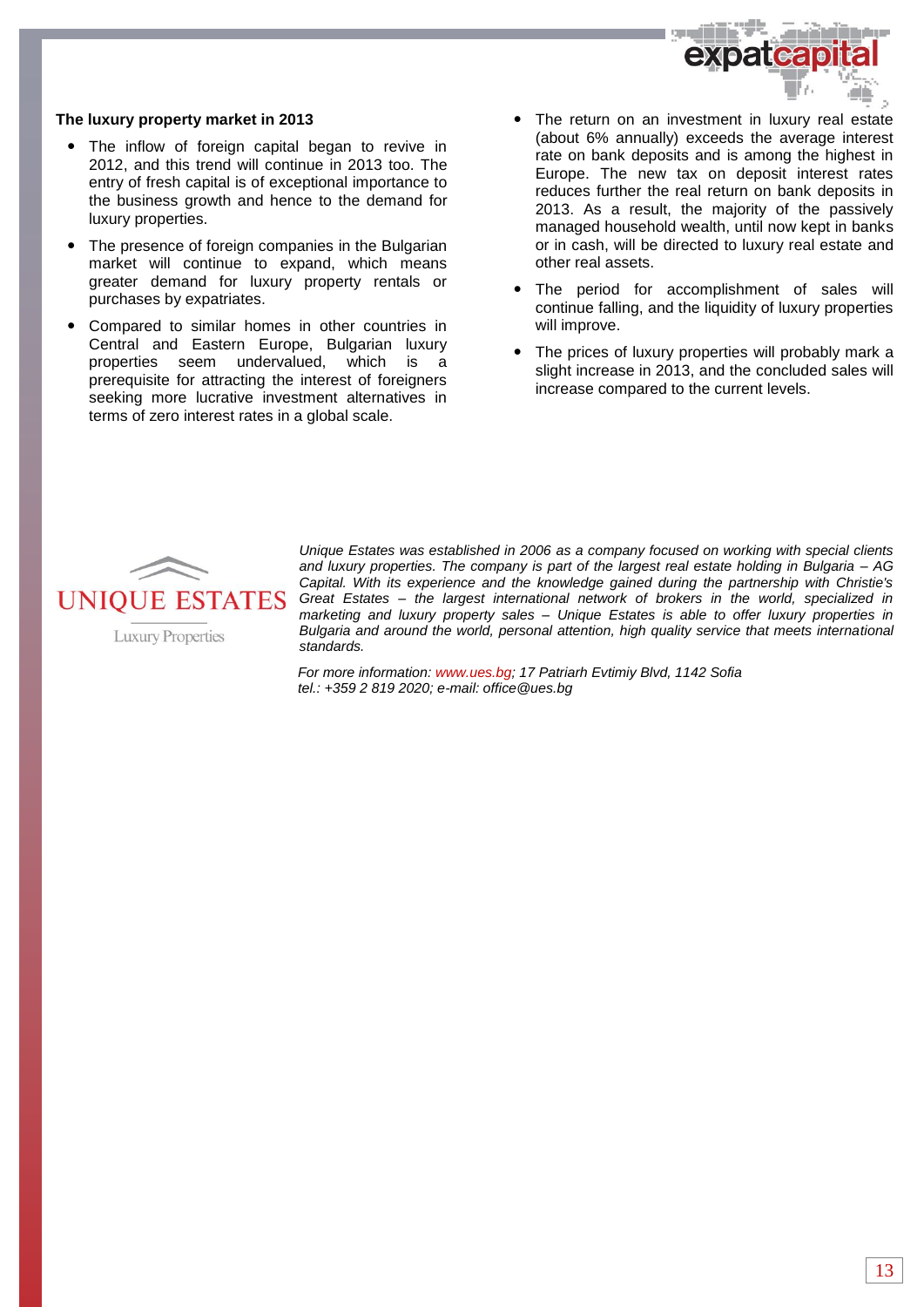

#### **The luxury property market in 2013**

- The inflow of foreign capital began to revive in 2012, and this trend will continue in 2013 too. The entry of fresh capital is of exceptional importance to the business growth and hence to the demand for luxury properties.
- The presence of foreign companies in the Bulgarian market will continue to expand, which means greater demand for luxury property rentals or purchases by expatriates.
- Compared to similar homes in other countries in Central and Eastern Europe, Bulgarian luxury properties seem undervalued, which is a prerequisite for attracting the interest of foreigners seeking more lucrative investment alternatives in terms of zero interest rates in a global scale.
- The return on an investment in luxury real estate (about 6% annually) exceeds the average interest rate on bank deposits and is among the highest in Europe. The new tax on deposit interest rates reduces further the real return on bank deposits in 2013. As a result, the majority of the passively managed household wealth, until now kept in banks or in cash, will be directed to luxury real estate and other real assets.
- The period for accomplishment of sales will continue falling, and the liquidity of luxury properties will improve.
- The prices of luxury properties will probably mark a slight increase in 2013, and the concluded sales will increase compared to the current levels.



**Luxury Properties** 

*Unique Estates was established in 2006 as a company focused on working with special clients and luxury properties. The company is part of the largest real estate holding in Bulgaria – AG Capital. With its experience and the knowledge gained during the partnership with Christie's Great Estates – the largest international network of brokers in the world, specialized in marketing and luxury property sales – Unique Estates is able to offer luxury properties in Bulgaria and around the world, personal attention, high quality service that meets international standards.* 

*For more information: www.ues.bg; 17 Patriarh Evtimiy Blvd, 1142 Sofia tel.: +359 2 819 2020; e-mail[: office@ues.bg](mailto:office@ues.bg)*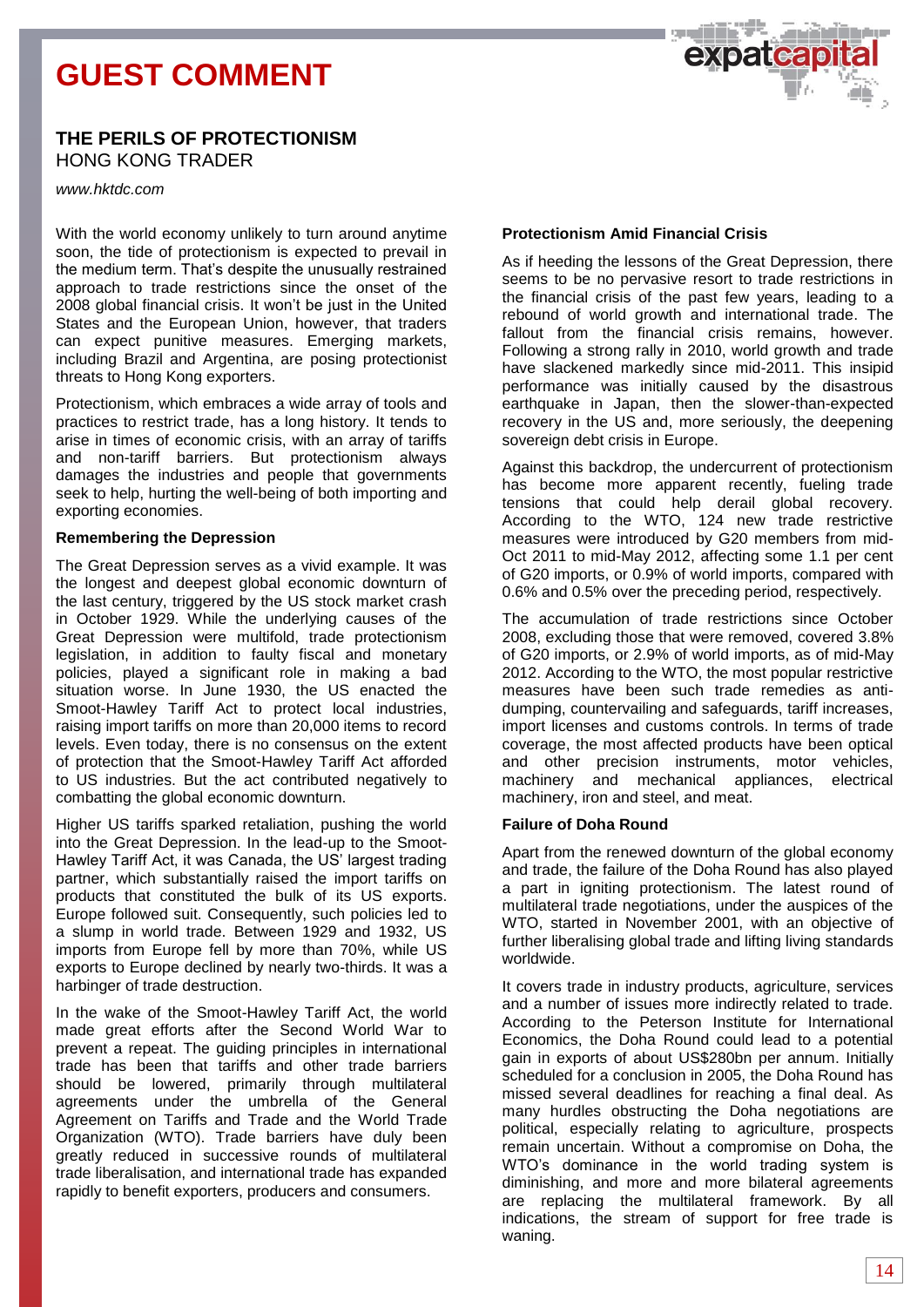# **GUEST COMMENT**



### **THE PERILS OF PROTECTIONISM** HONG KONG TRADER

*www.hktdc.com*

With the world economy unlikely to turn around anytime soon, the tide of protectionism is expected to prevail in the medium term. That's despite the unusually restrained approach to trade restrictions since the onset of the 2008 global financial crisis. It won't be just in the United States and the European Union, however, that traders can expect punitive measures. Emerging markets, including Brazil and Argentina, are posing protectionist threats to Hong Kong exporters.

Protectionism, which embraces a wide array of tools and practices to restrict trade, has a long history. It tends to arise in times of economic crisis, with an array of tariffs and non-tariff barriers. But protectionism always damages the industries and people that governments seek to help, hurting the well-being of both importing and exporting economies.

#### **Remembering the Depression**

The Great Depression serves as a vivid example. It was the longest and deepest global economic downturn of the last century, triggered by the US stock market crash in October 1929. While the underlying causes of the Great Depression were multifold, trade protectionism legislation, in addition to faulty fiscal and monetary policies, played a significant role in making a bad situation worse. In June 1930, the US enacted the Smoot-Hawley Tariff Act to protect local industries, raising import tariffs on more than 20,000 items to record levels. Even today, there is no consensus on the extent of protection that the Smoot-Hawley Tariff Act afforded to US industries. But the act contributed negatively to combatting the global economic downturn.

Higher US tariffs sparked retaliation, pushing the world into the Great Depression. In the lead-up to the Smoot-Hawley Tariff Act, it was Canada, the US' largest trading partner, which substantially raised the import tariffs on products that constituted the bulk of its US exports. Europe followed suit. Consequently, such policies led to a slump in world trade. Between 1929 and 1932, US imports from Europe fell by more than 70%, while US exports to Europe declined by nearly two-thirds. It was a harbinger of trade destruction.

In the wake of the Smoot-Hawley Tariff Act, the world made great efforts after the Second World War to prevent a repeat. The guiding principles in international trade has been that tariffs and other trade barriers should be lowered, primarily through multilateral agreements under the umbrella of the General Agreement on Tariffs and Trade and the World Trade Organization (WTO). Trade barriers have duly been greatly reduced in successive rounds of multilateral trade liberalisation, and international trade has expanded rapidly to benefit exporters, producers and consumers.

#### **Protectionism Amid Financial Crisis**

As if heeding the lessons of the Great Depression, there seems to be no pervasive resort to trade restrictions in the financial crisis of the past few years, leading to a rebound of world growth and international trade. The fallout from the financial crisis remains, however. Following a strong rally in 2010, world growth and trade have slackened markedly since mid-2011. This insipid performance was initially caused by the disastrous earthquake in Japan, then the slower-than-expected recovery in the US and, more seriously, the deepening sovereign debt crisis in Europe.

Against this backdrop, the undercurrent of protectionism has become more apparent recently, fueling trade tensions that could help derail global recovery. According to the WTO, 124 new trade restrictive measures were introduced by G20 members from mid-Oct 2011 to mid-May 2012, affecting some 1.1 per cent of G20 imports, or 0.9% of world imports, compared with 0.6% and 0.5% over the preceding period, respectively.

The accumulation of trade restrictions since October 2008, excluding those that were removed, covered 3.8% of G20 imports, or 2.9% of world imports, as of mid-May 2012. According to the WTO, the most popular restrictive measures have been such trade remedies as antidumping, countervailing and safeguards, tariff increases, import licenses and customs controls. In terms of trade coverage, the most affected products have been optical and other precision instruments, motor vehicles, machinery and mechanical appliances, electrical machinery, iron and steel, and meat.

#### **Failure of Doha Round**

Apart from the renewed downturn of the global economy and trade, the failure of the Doha Round has also played a part in igniting protectionism. The latest round of multilateral trade negotiations, under the auspices of the WTO, started in November 2001, with an objective of further liberalising global trade and lifting living standards worldwide.

It covers trade in industry products, agriculture, services and a number of issues more indirectly related to trade. According to the Peterson Institute for International Economics, the Doha Round could lead to a potential gain in exports of about US\$280bn per annum. Initially scheduled for a conclusion in 2005, the Doha Round has missed several deadlines for reaching a final deal. As many hurdles obstructing the Doha negotiations are political, especially relating to agriculture, prospects remain uncertain. Without a compromise on Doha, the WTO's dominance in the world trading system is diminishing, and more and more bilateral agreements are replacing the multilateral framework. By all indications, the stream of support for free trade is waning.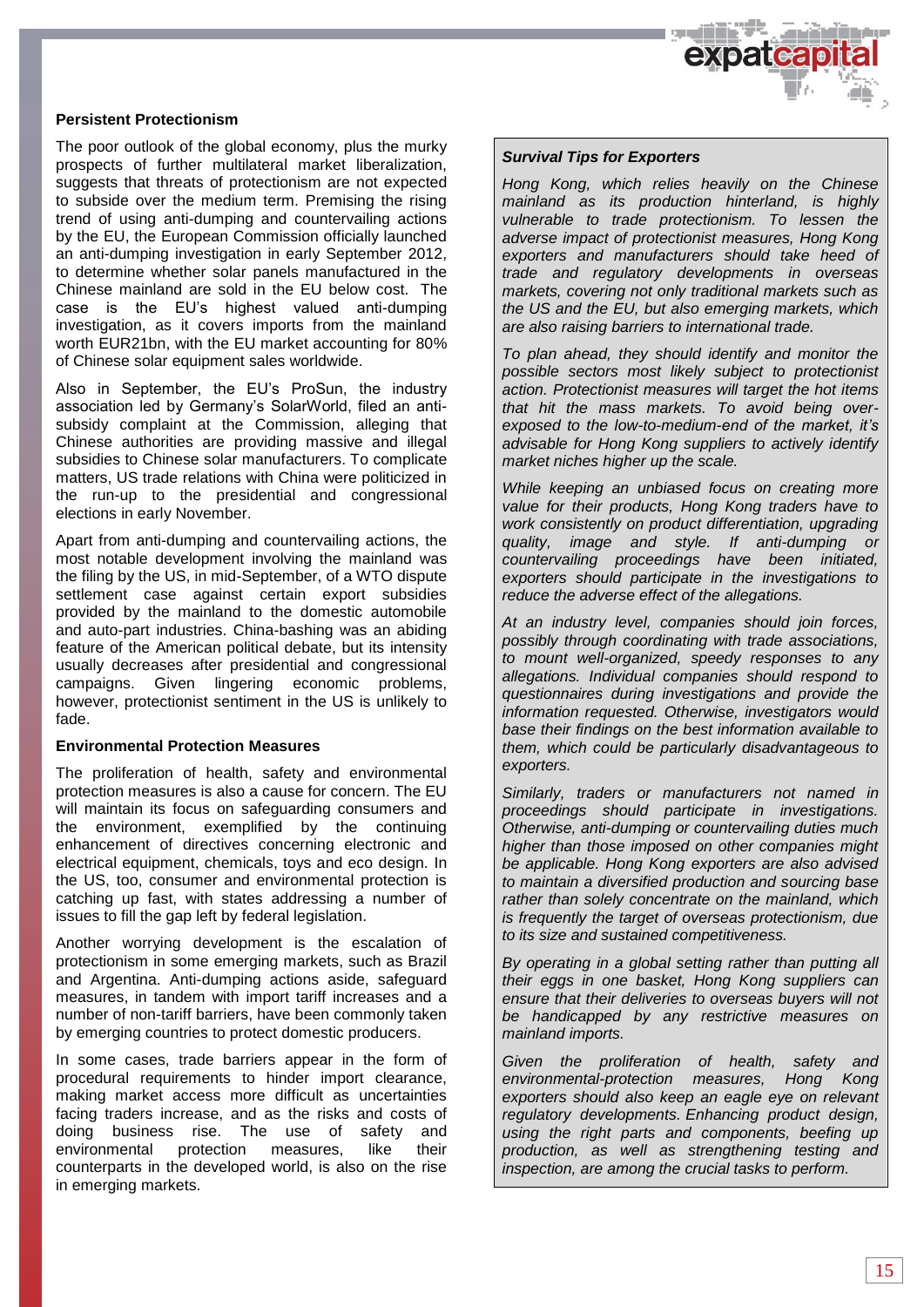

#### **Persistent Protectionism**

The poor outlook of the global economy, plus the murky prospects of further multilateral market liberalization, suggests that threats of protectionism are not expected to subside over the medium term. Premising the rising trend of using anti-dumping and countervailing actions by the EU, the European Commission officially launched an anti-dumping investigation in early September 2012, to determine whether solar panels manufactured in the Chinese mainland are sold in the EU below cost. The case is the EU's highest valued anti-dumping investigation, as it covers imports from the mainland worth EUR21bn, with the EU market accounting for 80% of Chinese solar equipment sales worldwide.

Also in September, the EU's ProSun, the industry association led by Germany's SolarWorld, filed an antisubsidy complaint at the Commission, alleging that Chinese authorities are providing massive and illegal subsidies to Chinese solar manufacturers. To complicate matters, US trade relations with China were politicized in the run-up to the presidential and congressional elections in early November.

Apart from anti-dumping and countervailing actions, the most notable development involving the mainland was the filing by the US, in mid-September, of a WTO dispute settlement case against certain export subsidies provided by the mainland to the domestic automobile and auto-part industries. China-bashing was an abiding feature of the American political debate, but its intensity usually decreases after presidential and congressional campaigns. Given lingering economic problems, however, protectionist sentiment in the US is unlikely to fade.

#### **Environmental Protection Measures**

The proliferation of health, safety and environmental protection measures is also a cause for concern. The EU will maintain its focus on safeguarding consumers and the environment, exemplified by the continuing enhancement of directives concerning electronic and electrical equipment, chemicals, toys and eco design. In the US, too, consumer and environmental protection is catching up fast, with states addressing a number of issues to fill the gap left by federal legislation.

Another worrying development is the escalation of protectionism in some emerging markets, such as Brazil and Argentina. Anti-dumping actions aside, safeguard measures, in tandem with import tariff increases and a number of non-tariff barriers, have been commonly taken by emerging countries to protect domestic producers.

In some cases, trade barriers appear in the form of procedural requirements to hinder import clearance, making market access more difficult as uncertainties facing traders increase, and as the risks and costs of doing business rise. The use of safety and environmental protection measures, like their counterparts in the developed world, is also on the rise in emerging markets.

#### *Survival Tips for Exporters*

*Hong Kong, which relies heavily on the Chinese mainland as its production hinterland, is highly vulnerable to trade protectionism. To lessen the adverse impact of protectionist measures, Hong Kong exporters and manufacturers should take heed of trade and regulatory developments in overseas markets, covering not only traditional markets such as the US and the EU, but also emerging markets, which are also raising barriers to international trade.*

*To plan ahead, they should identify and monitor the possible sectors most likely subject to protectionist action. Protectionist measures will target the hot items that hit the mass markets. To avoid being overexposed to the low-to-medium-end of the market, it's advisable for Hong Kong suppliers to actively identify market niches higher up the scale.*

*While keeping an unbiased focus on creating more value for their products, Hong Kong traders have to work consistently on product differentiation, upgrading quality, image and style. If anti-dumping or countervailing proceedings have been initiated, exporters should participate in the investigations to reduce the adverse effect of the allegations.*

*At an industry level, companies should join forces, possibly through coordinating with trade associations, to mount well-organized, speedy responses to any allegations. Individual companies should respond to questionnaires during investigations and provide the information requested. Otherwise, investigators would base their findings on the best information available to them, which could be particularly disadvantageous to exporters.*

*Similarly, traders or manufacturers not named in proceedings should participate in investigations. Otherwise, anti-dumping or countervailing duties much higher than those imposed on other companies might be applicable. Hong Kong exporters are also advised to maintain a diversified production and sourcing base rather than solely concentrate on the mainland, which is frequently the target of overseas protectionism, due to its size and sustained competitiveness.*

*By operating in a global setting rather than putting all their eggs in one basket, Hong Kong suppliers can ensure that their deliveries to overseas buyers will not be handicapped by any restrictive measures on mainland imports.*

*Given the proliferation of health, safety and environmental-protection measures, Hong Kong exporters should also keep an eagle eye on relevant regulatory developments. Enhancing product design, using the right parts and components, beefing up production, as well as strengthening testing and inspection, are among the crucial tasks to perform.*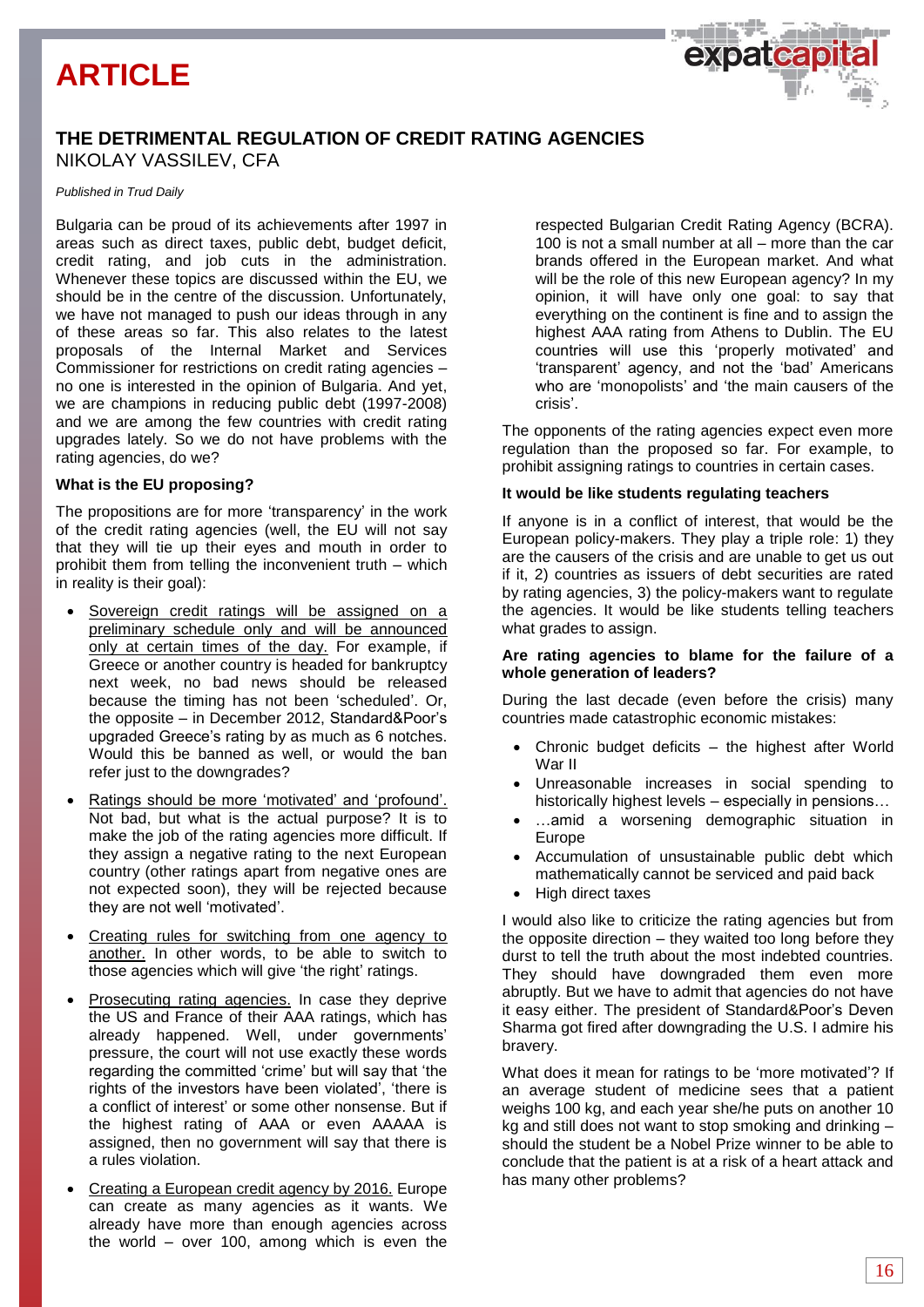# **ARTICLE**

### **THE DETRIMENTAL REGULATION OF CREDIT RATING AGENCIES** NIKOLAY VASSILEV, CFA

#### *Published in Trud Daily*

Bulgaria can be proud of its achievements after 1997 in areas such as direct taxes, public debt, budget deficit, credit rating, and job cuts in the administration. Whenever these topics are discussed within the EU, we should be in the centre of the discussion. Unfortunately, we have not managed to push our ideas through in any of these areas so far. This also relates to the latest proposals of the Internal Market and Services Commissioner for restrictions on credit rating agencies – no one is interested in the opinion of Bulgaria. And yet, we are champions in reducing public debt (1997-2008) and we are among the few countries with credit rating upgrades lately. So we do not have problems with the rating agencies, do we?

#### **What is the EU proposing?**

The propositions are for more 'transparency' in the work of the credit rating agencies (well, the EU will not say that they will tie up their eyes and mouth in order to prohibit them from telling the inconvenient truth – which in reality is their goal):

- Sovereign credit ratings will be assigned on a preliminary schedule only and will be announced only at certain times of the day. For example, if Greece or another country is headed for bankruptcy next week, no bad news should be released because the timing has not been 'scheduled'. Or, the opposite – in December 2012, Standard&Poor's upgraded Greece's rating by as much as 6 notches. Would this be banned as well, or would the ban refer just to the downgrades?
- Ratings should be more 'motivated' and 'profound'. Not bad, but what is the actual purpose? It is to make the job of the rating agencies more difficult. If they assign a negative rating to the next European country (other ratings apart from negative ones are not expected soon), they will be rejected because they are not well 'motivated'.
- Creating rules for switching from one agency to another. In other words, to be able to switch to those agencies which will give 'the right' ratings.
- Prosecuting rating agencies. In case they deprive the US and France of their AAA ratings, which has already happened. Well, under governments' pressure, the court will not use exactly these words regarding the committed 'crime' but will say that 'the rights of the investors have been violated', 'there is a conflict of interest' or some other nonsense. But if the highest rating of AAA or even AAAAA is assigned, then no government will say that there is a rules violation.
- Creating a European credit agency by 2016. Europe can create as many agencies as it wants. We already have more than enough agencies across the world – over 100, among which is even the

respected Bulgarian Credit Rating Agency (BCRA). 100 is not a small number at all – more than the car brands offered in the European market. And what will be the role of this new European agency? In my opinion, it will have only one goal: to say that everything on the continent is fine and to assign the highest AAA rating from Athens to Dublin. The EU countries will use this 'properly motivated' and 'transparent' agency, and not the 'bad' Americans who are 'monopolists' and 'the main causers of the crisis'.

expateap

The opponents of the rating agencies expect even more regulation than the proposed so far. For example, to prohibit assigning ratings to countries in certain cases.

#### **It would be like students regulating teachers**

If anyone is in a conflict of interest, that would be the European policy-makers. They play a triple role: 1) they are the causers of the crisis and are unable to get us out if it, 2) countries as issuers of debt securities are rated by rating agencies, 3) the policy-makers want to regulate the agencies. It would be like students telling teachers what grades to assign.

#### **Are rating agencies to blame for the failure of a whole generation of leaders?**

During the last decade (even before the crisis) many countries made catastrophic economic mistakes:

- Chronic budget deficits the highest after World War II
- Unreasonable increases in social spending to historically highest levels – especially in pensions…
- …amid a worsening demographic situation in Europe
- Accumulation of unsustainable public debt which mathematically cannot be serviced and paid back
- High direct taxes

I would also like to criticize the rating agencies but from the opposite direction – they waited too long before they durst to tell the truth about the most indebted countries. They should have downgraded them even more abruptly. But we have to admit that agencies do not have it easy either. The president of Standard&Poor's Deven Sharma got fired after downgrading the U.S. I admire his bravery.

What does it mean for ratings to be 'more motivated'? If an average student of medicine sees that a patient weighs 100 kg, and each year she/he puts on another 10 kg and still does not want to stop smoking and drinking – should the student be a Nobel Prize winner to be able to conclude that the patient is at a risk of a heart attack and has many other problems?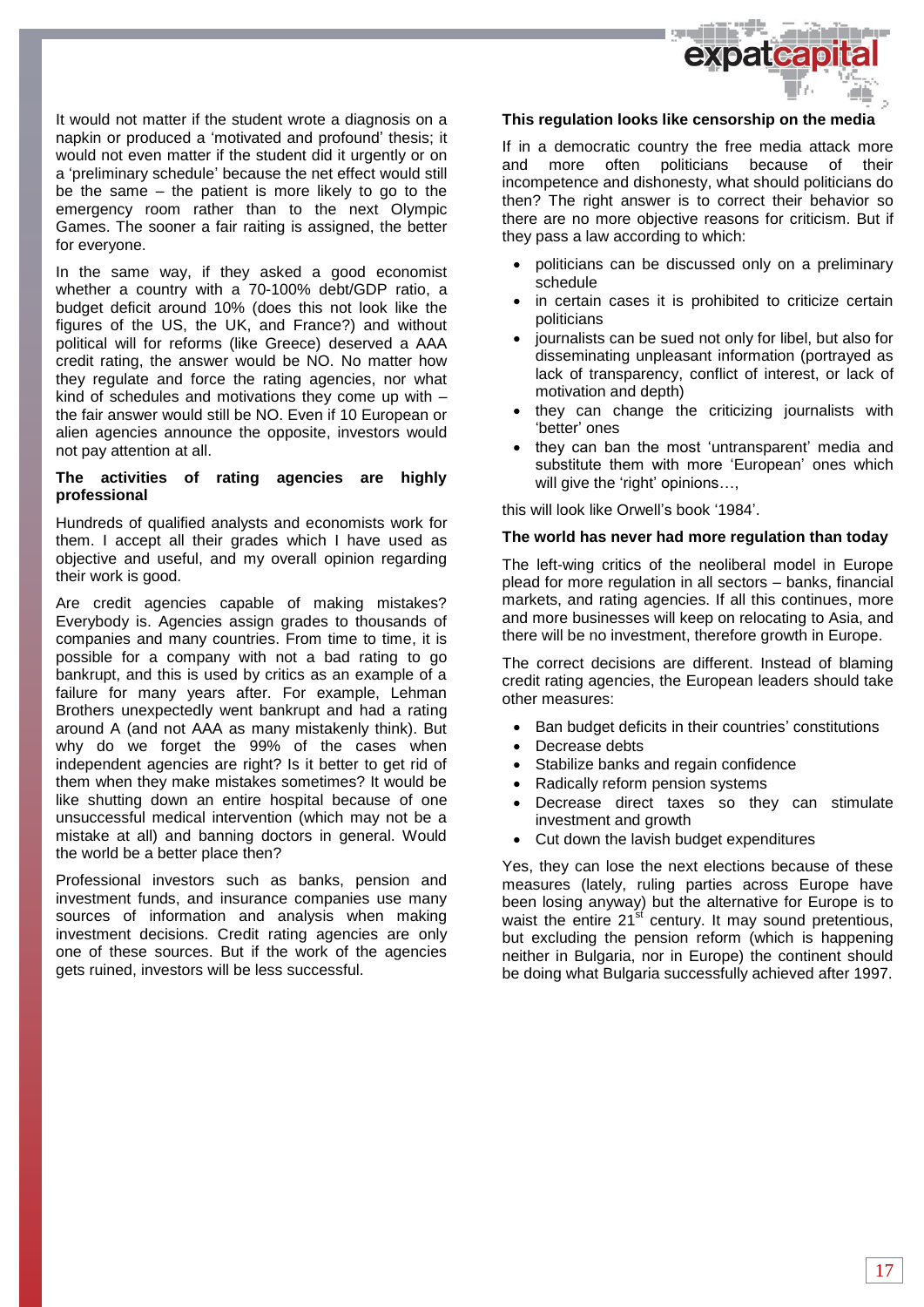

It would not matter if the student wrote a diagnosis on a napkin or produced a 'motivated and profound' thesis; it would not even matter if the student did it urgently or on a 'preliminary schedule' because the net effect would still be the same – the patient is more likely to go to the emergency room rather than to the next Olympic Games. The sooner a fair raiting is assigned, the better for everyone.

In the same way, if they asked a good economist whether a country with a 70-100% debt/GDP ratio, a budget deficit around 10% (does this not look like the figures of the US, the UK, and France?) and without political will for reforms (like Greece) deserved a AAA credit rating, the answer would be NO. No matter how they regulate and force the rating agencies, nor what kind of schedules and motivations they come up with – the fair answer would still be NO. Even if 10 European or alien agencies announce the opposite, investors would not pay attention at all.

#### **The activities of rating agencies are highly professional**

Hundreds of qualified analysts and economists work for them. I accept all their grades which I have used as objective and useful, and my overall opinion regarding their work is good.

Are credit agencies capable of making mistakes? Everybody is. Agencies assign grades to thousands of companies and many countries. From time to time, it is possible for a company with not a bad rating to go bankrupt, and this is used by critics as an example of a failure for many years after. For example, Lehman Brothers unexpectedly went bankrupt and had a rating around A (and not AAA as many mistakenly think). But why do we forget the 99% of the cases when independent agencies are right? Is it better to get rid of them when they make mistakes sometimes? It would be like shutting down an entire hospital because of one unsuccessful medical intervention (which may not be a mistake at all) and banning doctors in general. Would the world be a better place then?

Professional investors such as banks, pension and investment funds, and insurance companies use many sources of information and analysis when making investment decisions. Credit rating agencies are only one of these sources. But if the work of the agencies gets ruined, investors will be less successful.

#### **This regulation looks like censorship on the media**

If in a democratic country the free media attack more and more often politicians because of their incompetence and dishonesty, what should politicians do then? The right answer is to correct their behavior so there are no more objective reasons for criticism. But if they pass a law according to which:

- politicians can be discussed only on a preliminary schedule
- in certain cases it is prohibited to criticize certain politicians
- journalists can be sued not only for libel, but also for disseminating unpleasant information (portrayed as lack of transparency, conflict of interest, or lack of motivation and depth)
- they can change the criticizing journalists with 'better' ones
- they can ban the most 'untransparent' media and substitute them with more 'European' ones which will give the 'right' opinions…,

this will look like Orwell's book '1984'.

#### **The world has never had more regulation than today**

The left-wing critics of the neoliberal model in Europe plead for more regulation in all sectors – banks, financial markets, and rating agencies. If all this continues, more and more businesses will keep on relocating to Asia, and there will be no investment, therefore growth in Europe.

The correct decisions are different. Instead of blaming credit rating agencies, the European leaders should take other measures:

- Ban budget deficits in their countries' constitutions
- Decrease debts
- Stabilize banks and regain confidence
- Radically reform pension systems
- Decrease direct taxes so they can stimulate investment and growth
- Cut down the lavish budget expenditures

Yes, they can lose the next elections because of these measures (lately, ruling parties across Europe have been losing anyway) but the alternative for Europe is to waist the entire 21<sup>st</sup> century. It may sound pretentious, but excluding the pension reform (which is happening neither in Bulgaria, nor in Europe) the continent should be doing what Bulgaria successfully achieved after 1997.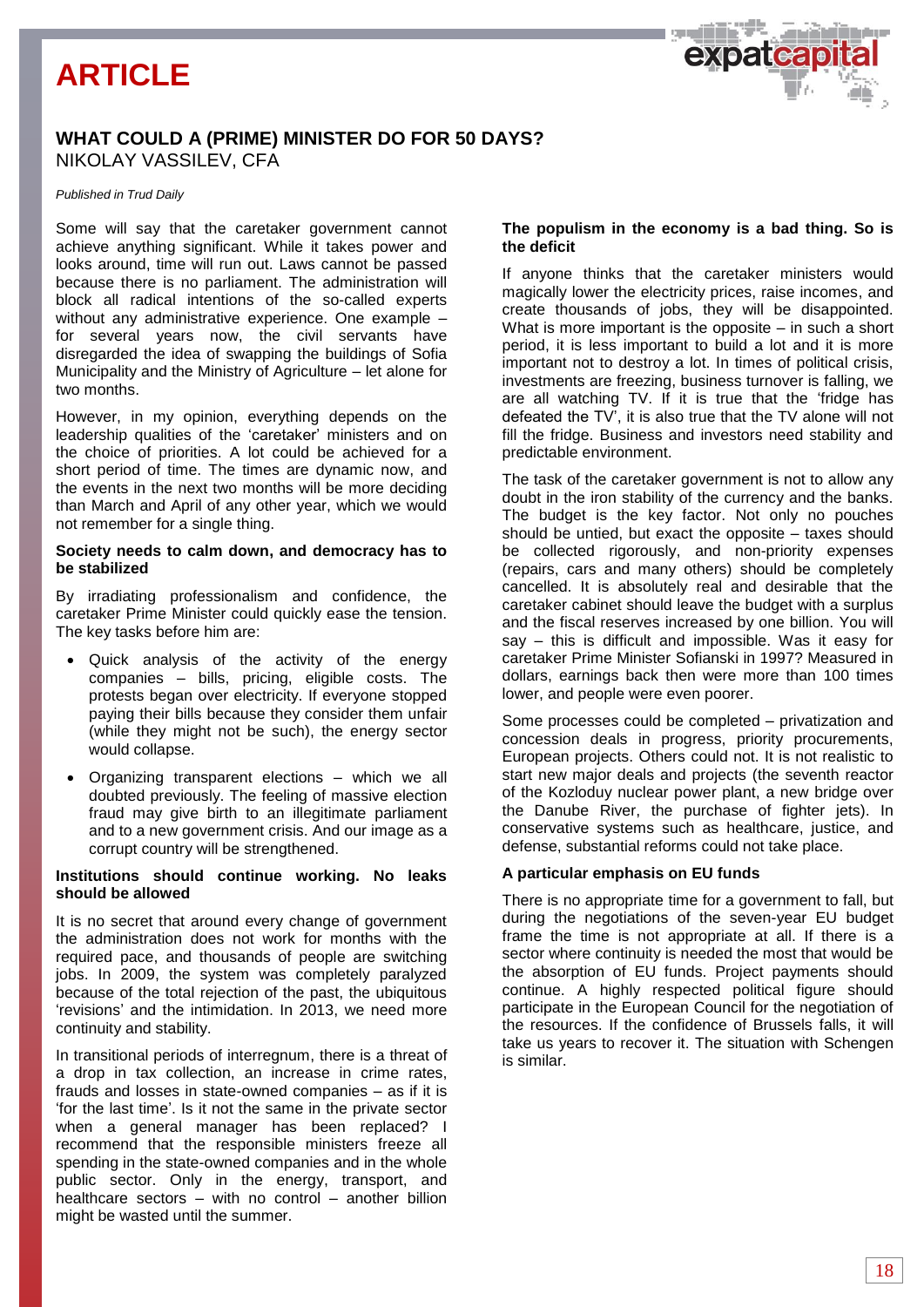# **ARTICLE**



#### *Published in Trud Daily*

Some will say that the caretaker government cannot achieve anything significant. While it takes power and looks around, time will run out. Laws cannot be passed because there is no parliament. The administration will block all radical intentions of the so-called experts without any administrative experience. One example – for several years now, the civil servants have disregarded the idea of swapping the buildings of Sofia Municipality and the Ministry of Agriculture – let alone for two months.

However, in my opinion, everything depends on the leadership qualities of the 'caretaker' ministers and on the choice of priorities. A lot could be achieved for a short period of time. The times are dynamic now, and the events in the next two months will be more deciding than March and April of any other year, which we would not remember for a single thing.

#### **Society needs to calm down, and democracy has to be stabilized**

By irradiating professionalism and confidence, the caretaker Prime Minister could quickly ease the tension. The key tasks before him are:

- Quick analysis of the activity of the energy companies – bills, pricing, eligible costs. The protests began over electricity. If everyone stopped paying their bills because they consider them unfair (while they might not be such), the energy sector would collapse.
- Organizing transparent elections which we all doubted previously. The feeling of massive election fraud may give birth to an illegitimate parliament and to a new government crisis. And our image as a corrupt country will be strengthened.

#### **Institutions should continue working. No leaks should be allowed**

It is no secret that around every change of government the administration does not work for months with the required pace, and thousands of people are switching jobs. In 2009, the system was completely paralyzed because of the total rejection of the past, the ubiquitous 'revisions' and the intimidation. In 2013, we need more continuity and stability.

In transitional periods of interregnum, there is a threat of a drop in tax collection, an increase in crime rates, frauds and losses in state-owned companies – as if it is 'for the last time'. Is it not the same in the private sector when a general manager has been replaced? I recommend that the responsible ministers freeze all spending in the state-owned companies and in the whole public sector. Only in the energy, transport, and healthcare sectors – with no control – another billion might be wasted until the summer.

#### **The populism in the economy is a bad thing. So is the deficit**

If anyone thinks that the caretaker ministers would magically lower the electricity prices, raise incomes, and create thousands of jobs, they will be disappointed. What is more important is the opposite – in such a short period, it is less important to build a lot and it is more important not to destroy a lot. In times of political crisis, investments are freezing, business turnover is falling, we are all watching TV. If it is true that the 'fridge has defeated the TV', it is also true that the TV alone will not fill the fridge. Business and investors need stability and predictable environment.

The task of the caretaker government is not to allow any doubt in the iron stability of the currency and the banks. The budget is the key factor. Not only no pouches should be untied, but exact the opposite – taxes should be collected rigorously, and non-priority expenses (repairs, cars and many others) should be completely cancelled. It is absolutely real and desirable that the caretaker cabinet should leave the budget with a surplus and the fiscal reserves increased by one billion. You will say – this is difficult and impossible. Was it easy for caretaker Prime Minister Sofianski in 1997? Measured in dollars, earnings back then were more than 100 times lower, and people were even poorer.

Some processes could be completed – privatization and concession deals in progress, priority procurements, European projects. Others could not. It is not realistic to start new major deals and projects (the seventh reactor of the Kozloduy nuclear power plant, a new bridge over the Danube River, the purchase of fighter jets). In conservative systems such as healthcare, justice, and defense, substantial reforms could not take place.

#### **A particular emphasis on EU funds**

There is no appropriate time for a government to fall, but during the negotiations of the seven-year EU budget frame the time is not appropriate at all. If there is a sector where continuity is needed the most that would be the absorption of EU funds. Project payments should continue. A highly respected political figure should participate in the European Council for the negotiation of the resources. If the confidence of Brussels falls, it will take us years to recover it. The situation with Schengen is similar.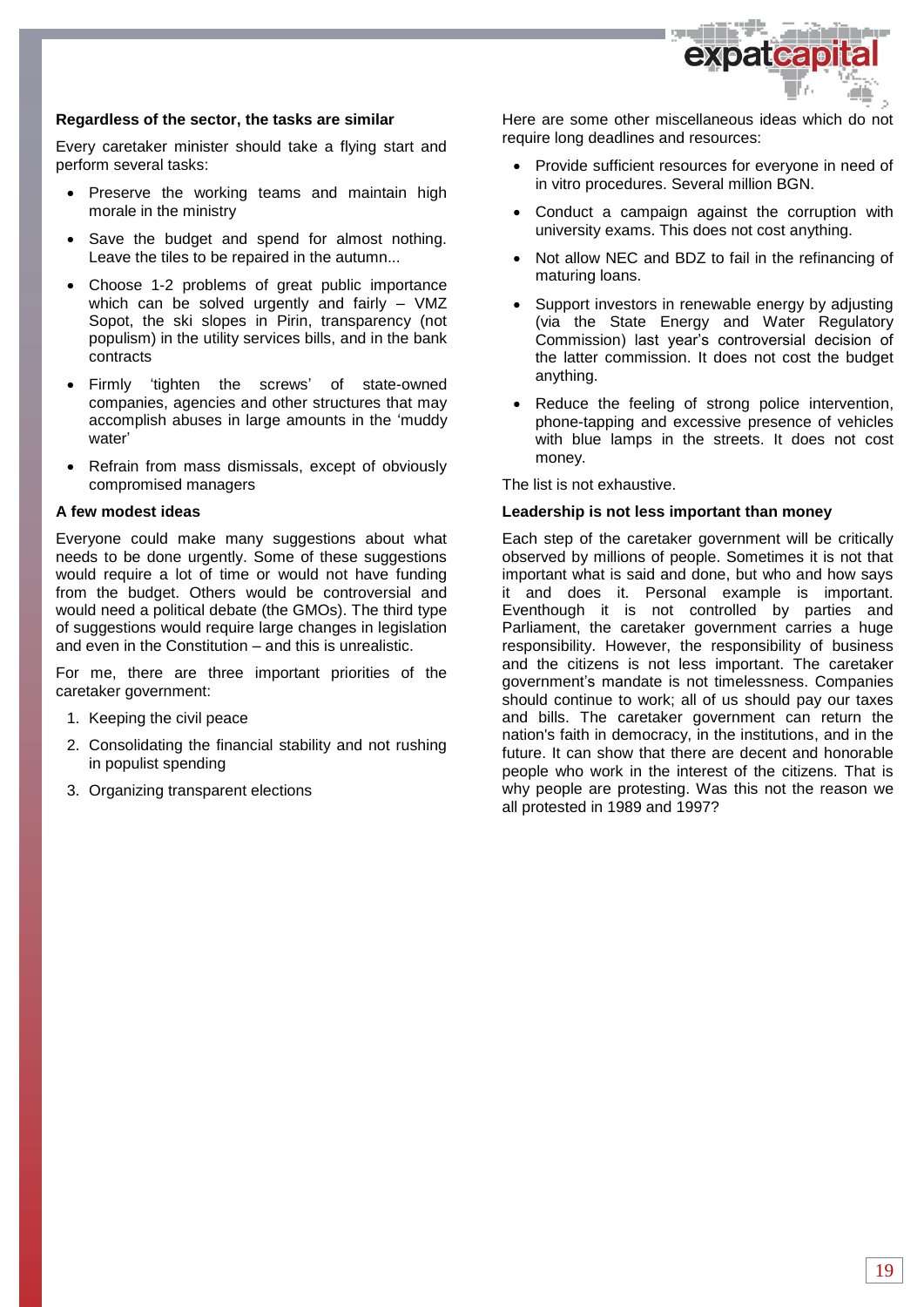

#### **Regardless of the sector, the tasks are similar**

Every caretaker minister should take a flying start and perform several tasks:

- Preserve the working teams and maintain high morale in the ministry
- Save the budget and spend for almost nothing. Leave the tiles to be repaired in the autumn...
- Choose 1-2 problems of great public importance which can be solved urgently and fairly – VMZ Sopot, the ski slopes in Pirin, transparency (not populism) in the utility services bills, and in the bank contracts
- Firmly 'tighten the screws' of state-owned companies, agencies and other structures that may accomplish abuses in large amounts in the 'muddy water'
- Refrain from mass dismissals, except of obviously compromised managers

#### **A few modest ideas**

Everyone could make many suggestions about what needs to be done urgently. Some of these suggestions would require a lot of time or would not have funding from the budget. Others would be controversial and would need a political debate (the GMOs). The third type of suggestions would require large changes in legislation and even in the Constitution – and this is unrealistic.

For me, there are three important priorities of the caretaker government:

- 1. Keeping the civil peace
- 2. Consolidating the financial stability and not rushing in populist spending
- 3. Organizing transparent elections

Here are some other miscellaneous ideas which do not require long deadlines and resources:

- Provide sufficient resources for everyone in need of in vitro procedures. Several million BGN.
- Conduct a campaign against the corruption with university exams. This does not cost anything.
- Not allow NEC and BDZ to fail in the refinancing of maturing loans.
- Support investors in renewable energy by adjusting (via the State Energy and Water Regulatory Commission) last year's controversial decision of the latter commission. It does not cost the budget anything.
- Reduce the feeling of strong police intervention, phone-tapping and excessive presence of vehicles with blue lamps in the streets. It does not cost money.

The list is not exhaustive.

#### **Leadership is not less important than money**

Each step of the caretaker government will be critically observed by millions of people. Sometimes it is not that important what is said and done, but who and how says it and does it. Personal example is important. Eventhough it is not controlled by parties and Parliament, the caretaker government carries a huge responsibility. However, the responsibility of business and the citizens is not less important. The caretaker government's mandate is not timelessness. Companies should continue to work; all of us should pay our taxes and bills. The caretaker government can return the nation's faith in democracy, in the institutions, and in the future. It can show that there are decent and honorable people who work in the interest of the citizens. That is why people are protesting. Was this not the reason we all protested in 1989 and 1997?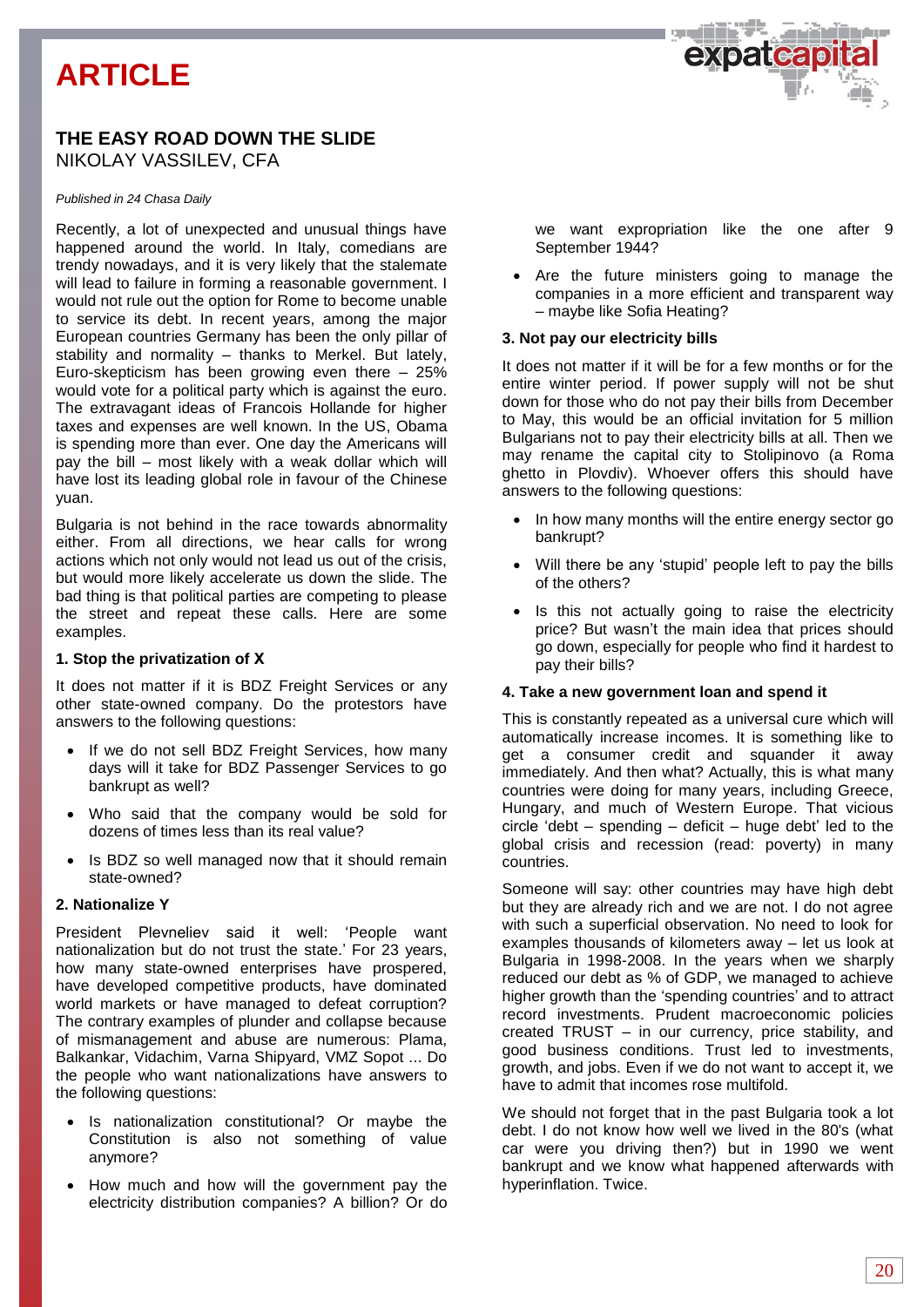# **ARTICLE**

# **THE EASY ROAD DOWN THE SLIDE** NIKOLAY VASSILEV, CFA

#### *Published in 24 Chasa Daily*

Recently, a lot of unexpected and unusual things have happened around the world. In Italy, comedians are trendy nowadays, and it is very likely that the stalemate will lead to failure in forming a reasonable government. I would not rule out the option for Rome to become unable to service its debt. In recent years, among the major European countries Germany has been the only pillar of stability and normality – thanks to Merkel. But lately, Euro-skepticism has been growing even there – 25% would vote for a political party which is against the euro. The extravagant ideas of Francois Hollande for higher taxes and expenses are well known. In the US, Obama is spending more than ever. One day the Americans will pay the bill – most likely with a weak dollar which will have lost its leading global role in favour of the Chinese yuan.

Bulgaria is not behind in the race towards abnormality either. From all directions, we hear calls for wrong actions which not only would not lead us out of the crisis, but would more likely accelerate us down the slide. The bad thing is that political parties are competing to please the street and repeat these calls. Here are some examples.

#### **1. Stop the privatization of Х**

It does not matter if it is BDZ Freight Services or any other state-owned company. Do the protestors have answers to the following questions:

- If we do not sell BDZ Freight Services, how many days will it take for BDZ Passenger Services to go bankrupt as well?
- Who said that the company would be sold for dozens of times less than its real value?
- Is BDZ so well managed now that it should remain state-owned?

#### **2. Nationalize Y**

President Plevneliev said it well: 'People want nationalization but do not trust the state.' For 23 years, how many state-owned enterprises have prospered, have developed competitive products, have dominated world markets or have managed to defeat corruption? The contrary examples of plunder and collapse because of mismanagement and abuse are numerous: Plama, Balkankar, Vidachim, Varna Shipyard, VMZ Sopot ... Do the people who want nationalizations have answers to the following questions:

- Is nationalization constitutional? Or maybe the Constitution is also not something of value anymore?
- How much and how will the government pay the electricity distribution companies? A billion? Or do

we want expropriation like the one after 9 September 1944?

 Are the future ministers going to manage the companies in a more efficient and transparent way – maybe like Sofia Heating?

#### **3. Not pay our electricity bills**

It does not matter if it will be for a few months or for the entire winter period. If power supply will not be shut down for those who do not pay their bills from December to May, this would be an official invitation for 5 million Bulgarians not to pay their electricity bills at all. Then we may rename the capital city to Stolipinovo (a Roma ghetto in Plovdiv). Whoever offers this should have answers to the following questions:

- In how many months will the entire energy sector go bankrupt?
- Will there be any 'stupid' people left to pay the bills of the others?
- Is this not actually going to raise the electricity price? But wasn't the main idea that prices should go down, especially for people who find it hardest to pay their bills?

#### **4. Take a new government loan and spend it**

This is constantly repeated as a universal cure which will automatically increase incomes. It is something like to get a consumer credit and squander it away immediately. And then what? Actually, this is what many countries were doing for many years, including Greece, Hungary, and much of Western Europe. That vicious circle 'debt – spending – deficit – huge debt' led to the global crisis and recession (read: poverty) in many countries.

Someone will say: other countries may have high debt but they are already rich and we are not. I do not agree with such a superficial observation. No need to look for examples thousands of kilometers away – let us look at Bulgaria in 1998-2008. In the years when we sharply reduced our debt as % of GDP, we managed to achieve higher growth than the 'spending countries' and to attract record investments. Prudent macroeconomic policies created TRUST – in our currency, price stability, and good business conditions. Trust led to investments, growth, and jobs. Even if we do not want to accept it, we have to admit that incomes rose multifold.

We should not forget that in the past Bulgaria took a lot debt. I do not know how well we lived in the 80's (what car were you driving then?) but in 1990 we went bankrupt and we know what happened afterwards with hyperinflation. Twice.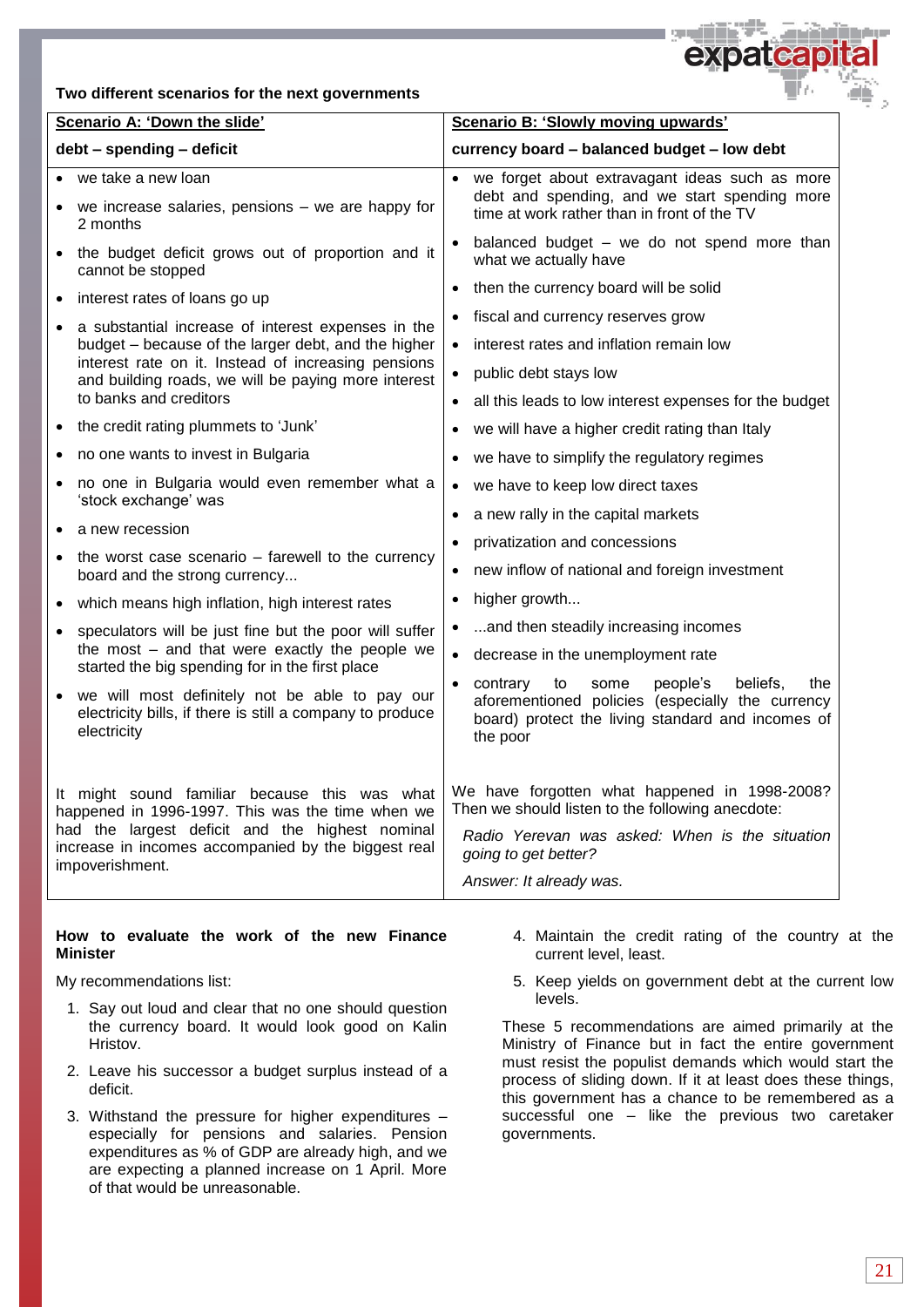#### **Two different scenarios for the next governments**



|                                                                                                                                                                                                                                | Scenario A: 'Down the slide'                                                                                                                                                                                                                      | Scenario B: 'Slowly moving upwards'                                                                                                                                         |  |  |
|--------------------------------------------------------------------------------------------------------------------------------------------------------------------------------------------------------------------------------|---------------------------------------------------------------------------------------------------------------------------------------------------------------------------------------------------------------------------------------------------|-----------------------------------------------------------------------------------------------------------------------------------------------------------------------------|--|--|
|                                                                                                                                                                                                                                | debt - spending - deficit                                                                                                                                                                                                                         | currency board - balanced budget - low debt                                                                                                                                 |  |  |
|                                                                                                                                                                                                                                | we take a new loan                                                                                                                                                                                                                                | we forget about extravagant ideas such as more                                                                                                                              |  |  |
|                                                                                                                                                                                                                                | we increase salaries, pensions - we are happy for<br>2 months                                                                                                                                                                                     | debt and spending, and we start spending more<br>time at work rather than in front of the TV                                                                                |  |  |
|                                                                                                                                                                                                                                | the budget deficit grows out of proportion and it<br>cannot be stopped                                                                                                                                                                            | balanced budget - we do not spend more than<br>what we actually have                                                                                                        |  |  |
| $\bullet$                                                                                                                                                                                                                      | interest rates of loans go up                                                                                                                                                                                                                     | then the currency board will be solid<br>$\bullet$                                                                                                                          |  |  |
| $\bullet$                                                                                                                                                                                                                      | a substantial increase of interest expenses in the<br>budget - because of the larger debt, and the higher<br>interest rate on it. Instead of increasing pensions<br>and building roads, we will be paying more interest<br>to banks and creditors | fiscal and currency reserves grow                                                                                                                                           |  |  |
|                                                                                                                                                                                                                                |                                                                                                                                                                                                                                                   | interest rates and inflation remain low                                                                                                                                     |  |  |
|                                                                                                                                                                                                                                |                                                                                                                                                                                                                                                   | public debt stays low<br>$\bullet$                                                                                                                                          |  |  |
|                                                                                                                                                                                                                                |                                                                                                                                                                                                                                                   | all this leads to low interest expenses for the budget                                                                                                                      |  |  |
| $\bullet$                                                                                                                                                                                                                      | the credit rating plummets to 'Junk'                                                                                                                                                                                                              | we will have a higher credit rating than Italy                                                                                                                              |  |  |
|                                                                                                                                                                                                                                | no one wants to invest in Bulgaria                                                                                                                                                                                                                | we have to simplify the regulatory regimes                                                                                                                                  |  |  |
|                                                                                                                                                                                                                                | no one in Bulgaria would even remember what a<br>'stock exchange' was                                                                                                                                                                             | we have to keep low direct taxes<br>$\bullet$                                                                                                                               |  |  |
|                                                                                                                                                                                                                                | a new recession                                                                                                                                                                                                                                   | a new rally in the capital markets<br>$\bullet$                                                                                                                             |  |  |
| $\bullet$                                                                                                                                                                                                                      | the worst case scenario - farewell to the currency                                                                                                                                                                                                | privatization and concessions<br>$\bullet$<br>new inflow of national and foreign investment<br>$\bullet$                                                                    |  |  |
|                                                                                                                                                                                                                                | board and the strong currency                                                                                                                                                                                                                     | higher growth<br>$\bullet$                                                                                                                                                  |  |  |
| $\bullet$                                                                                                                                                                                                                      | which means high inflation, high interest rates                                                                                                                                                                                                   | and then steadily increasing incomes                                                                                                                                        |  |  |
| $\bullet$                                                                                                                                                                                                                      | speculators will be just fine but the poor will suffer<br>the most - and that were exactly the people we                                                                                                                                          | $\bullet$<br>$\bullet$                                                                                                                                                      |  |  |
|                                                                                                                                                                                                                                | started the big spending for in the first place                                                                                                                                                                                                   | decrease in the unemployment rate                                                                                                                                           |  |  |
|                                                                                                                                                                                                                                | we will most definitely not be able to pay our<br>electricity bills, if there is still a company to produce<br>electricity                                                                                                                        | beliefs,<br>contrary<br>to<br>some<br>people's<br>the<br>aforementioned policies (especially the currency<br>board) protect the living standard and incomes of<br>the poor  |  |  |
| It might sound familiar because this was what<br>happened in 1996-1997. This was the time when we<br>had the largest deficit and the highest nominal<br>increase in incomes accompanied by the biggest real<br>impoverishment. |                                                                                                                                                                                                                                                   | We have forgotten what happened in 1998-2008?<br>Then we should listen to the following anecdote:<br>Radio Yerevan was asked: When is the situation<br>going to get better? |  |  |
|                                                                                                                                                                                                                                |                                                                                                                                                                                                                                                   | Answer: It already was.                                                                                                                                                     |  |  |

#### **How to evaluate the work of the new Finance Minister**

My recommendations list:

- 1. Say out loud and clear that no one should question the currency board. It would look good on Kalin Hristov.
- 2. Leave his successor a budget surplus instead of a deficit.
- 3. Withstand the pressure for higher expenditures especially for pensions and salaries. Pension expenditures as % of GDP are already high, and we are expecting a planned increase on 1 April. More of that would be unreasonable.
- 4. Maintain the credit rating of the country at the current level, least.
- 5. Keep yields on government debt at the current low levels.

These 5 recommendations are aimed primarily at the Ministry of Finance but in fact the entire government must resist the populist demands which would start the process of sliding down. If it at least does these things, this government has a chance to be remembered as a successful one – like the previous two caretaker governments.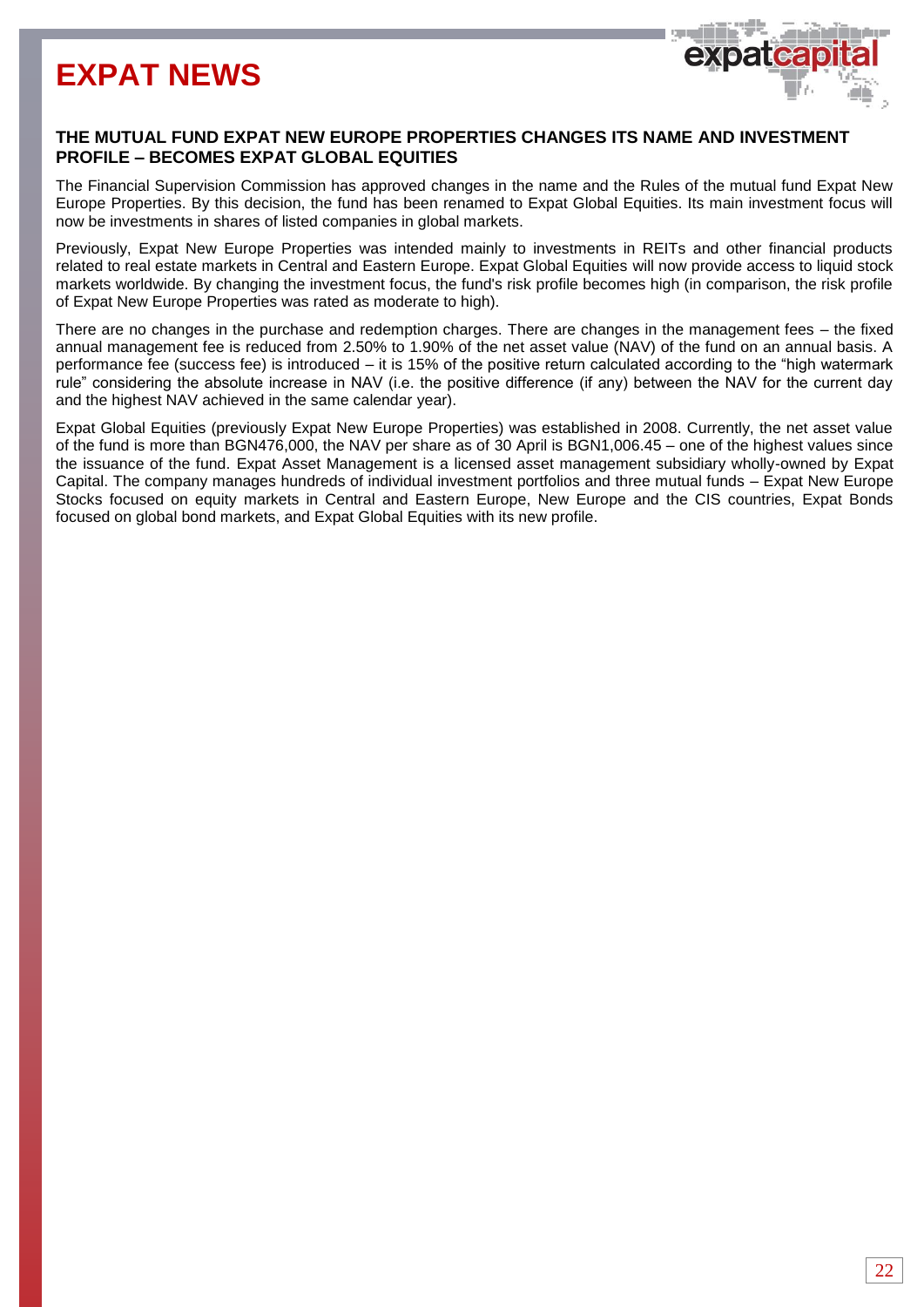# **EXPAT NEWS**



### **THE MUTUAL FUND EXPAT NEW EUROPE PROPERTIES CHANGES ITS NAME AND INVESTMENT PROFILE – BECOMES EXPAT GLOBAL EQUITIES**

The Financial Supervision Commission has approved changes in the name and the Rules of the mutual fund Expat New Europe Properties. By this decision, the fund has been renamed to Expat Global Equities. Its main investment focus will now be investments in shares of listed companies in global markets.

Previously, Expat New Europe Properties was intended mainly to investments in REITs and other financial products related to real estate markets in Central and Eastern Europe. Expat Global Equities will now provide access to liquid stock markets worldwide. By changing the investment focus, the fund's risk profile becomes high (in comparison, the risk profile of Expat New Europe Properties was rated as moderate to high).

There are no changes in the purchase and redemption charges. There are changes in the management fees – the fixed annual management fee is reduced from 2.50% to 1.90% of the net asset value (NAV) of the fund on an annual basis. A performance fee (success fee) is introduced – it is 15% of the positive return calculated according to the "high watermark rule" considering the absolute increase in NAV (i.e. the positive difference (if any) between the NAV for the current day and the highest NAV achieved in the same calendar year).

Expat Global Equities (previously Expat New Europe Properties) was established in 2008. Currently, the net asset value of the fund is more than BGN476,000, the NAV per share as of 30 April is BGN1,006.45 – one of the highest values since the issuance of the fund. Expat Asset Management is a licensed asset management subsidiary wholly-owned by Expat Capital. The company manages hundreds of individual investment portfolios and three mutual funds – Expat New Europe Stocks focused on equity markets in Central and Eastern Europe, New Europe and the CIS countries, Expat Bonds focused on global bond markets, and Expat Global Equities with its new profile.